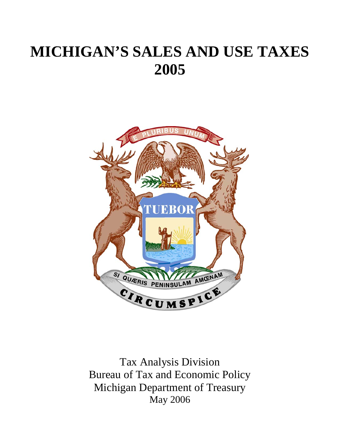# **MICHIGAN'S SALES AND USE TAXES 2005**



Tax Analysis Division Bureau of Tax and Economic Policy Michigan Department of Treasury May 2006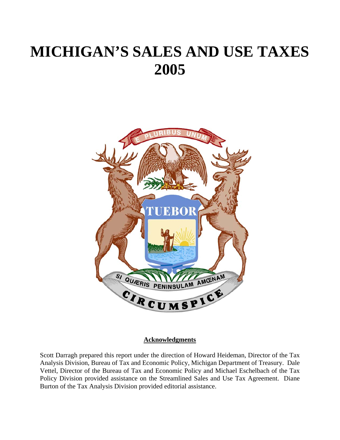# **MICHIGAN'S SALES AND USE TAXES 2005**



#### **Acknowledgments**

Scott Darragh prepared this report under the direction of Howard Heideman, Director of the Tax Analysis Division, Bureau of Tax and Economic Policy, Michigan Department of Treasury. Dale Vettel, Director of the Bureau of Tax and Economic Policy and Michael Eschelbach of the Tax Policy Division provided assistance on the Streamlined Sales and Use Tax Agreement. Diane Burton of the Tax Analysis Division provided editorial assistance.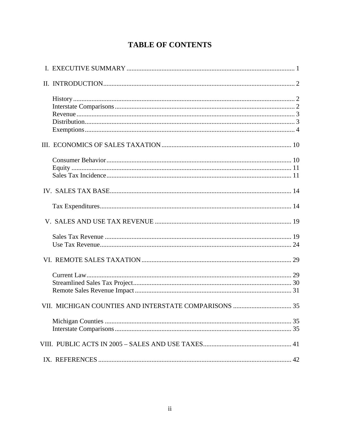## **TABLE OF CONTENTS**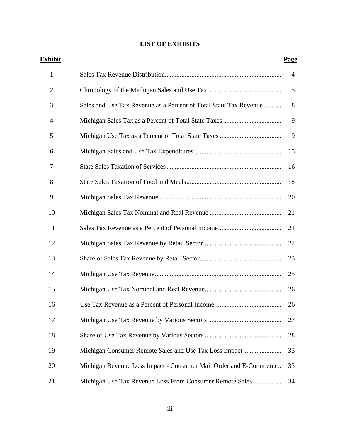## **LIST OF EXHIBITS**

| Exhibit        |                                                                   | <b>Page</b>    |
|----------------|-------------------------------------------------------------------|----------------|
| $\mathbf{1}$   |                                                                   | $\overline{4}$ |
| $\overline{2}$ |                                                                   | 5              |
| 3              | Sales and Use Tax Revenue as a Percent of Total State Tax Revenue | 8              |
| 4              |                                                                   | 9              |
| 5              |                                                                   | 9              |
| 6              |                                                                   | 15             |
| 7              |                                                                   | 16             |
| 8              |                                                                   | 18             |
| 9              |                                                                   | 20             |
| 10             |                                                                   | 21             |
| 11             |                                                                   | 21             |
| 12             |                                                                   | 22             |
| 13             |                                                                   | 23             |
| 14             |                                                                   | 25             |
| 15             |                                                                   | 26             |
| 16             |                                                                   | 26             |
| 17             |                                                                   | 27             |
| 18             |                                                                   | 28             |
| 19             |                                                                   | 33             |
| 20             | Michigan Revenue Loss Impact - Consumer Mail Order and E-Commerce | 33             |
| 21             | Michigan Use Tax Revenue Loss From Consumer Remote Sales          | 34             |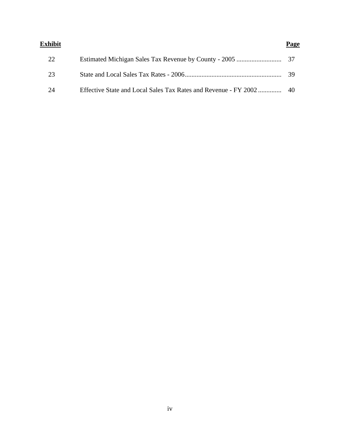| Exhibit | Page |
|---------|------|
| 22      |      |
| 23      | - 39 |
| 24      |      |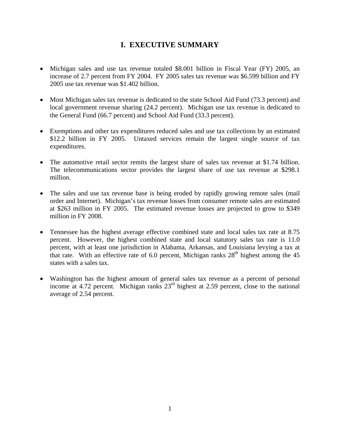## **I. EXECUTIVE SUMMARY**

- Michigan sales and use tax revenue totaled \$8.001 billion in Fiscal Year (FY) 2005, an increase of 2.7 percent from FY 2004. FY 2005 sales tax revenue was \$6.599 billion and FY 2005 use tax revenue was \$1.402 billion.
- Most Michigan sales tax revenue is dedicated to the state School Aid Fund (73.3 percent) and local government revenue sharing (24.2 percent). Michigan use tax revenue is dedicated to the General Fund (66.7 percent) and School Aid Fund (33.3 percent).
- Exemptions and other tax expenditures reduced sales and use tax collections by an estimated \$12.2 billion in FY 2005. Untaxed services remain the largest single source of tax expenditures.
- The automotive retail sector remits the largest share of sales tax revenue at \$1.74 billion. The telecommunications sector provides the largest share of use tax revenue at \$298.1 million.
- The sales and use tax revenue base is being eroded by rapidly growing remote sales (mail order and Internet). Michigan's tax revenue losses from consumer remote sales are estimated at \$263 million in FY 2005. The estimated revenue losses are projected to grow to \$349 million in FY 2008.
- Tennessee has the highest average effective combined state and local sales tax rate at 8.75 percent. However, the highest combined state and local statutory sales tax rate is 11.0 percent, with at least one jurisdiction in Alabama, Arkansas, and Louisiana levying a tax at that rate. With an effective rate of 6.0 percent, Michigan ranks  $28<sup>th</sup>$  highest among the 45 states with a sales tax.
- Washington has the highest amount of general sales tax revenue as a percent of personal income at 4.72 percent. Michigan ranks  $23<sup>rd</sup>$  highest at 2.59 percent, close to the national average of 2.54 percent.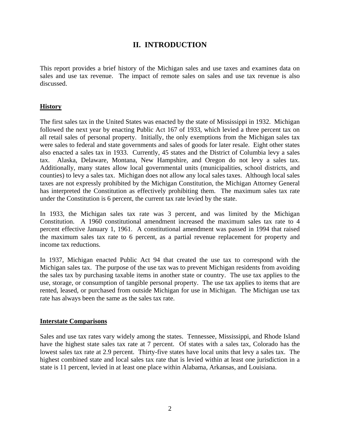## **II. INTRODUCTION**

This report provides a brief history of the Michigan sales and use taxes and examines data on sales and use tax revenue. The impact of remote sales on sales and use tax revenue is also discussed.

#### **History**

The first sales tax in the United States was enacted by the state of Mississippi in 1932. Michigan followed the next year by enacting Public Act 167 of 1933, which levied a three percent tax on all retail sales of personal property. Initially, the only exemptions from the Michigan sales tax were sales to federal and state governments and sales of goods for later resale. Eight other states also enacted a sales tax in 1933. Currently, 45 states and the District of Columbia levy a sales tax. Alaska, Delaware, Montana, New Hampshire, and Oregon do not levy a sales tax. Additionally, many states allow local governmental units (municipalities, school districts, and counties) to levy a sales tax. Michigan does not allow any local sales taxes. Although local sales taxes are not expressly prohibited by the Michigan Constitution, the Michigan Attorney General has interpreted the Constitution as effectively prohibiting them. The maximum sales tax rate under the Constitution is 6 percent, the current tax rate levied by the state.

In 1933, the Michigan sales tax rate was 3 percent, and was limited by the Michigan Constitution. A 1960 constitutional amendment increased the maximum sales tax rate to 4 percent effective January 1, 1961. A constitutional amendment was passed in 1994 that raised the maximum sales tax rate to 6 percent, as a partial revenue replacement for property and income tax reductions.

In 1937, Michigan enacted Public Act 94 that created the use tax to correspond with the Michigan sales tax. The purpose of the use tax was to prevent Michigan residents from avoiding the sales tax by purchasing taxable items in another state or country. The use tax applies to the use, storage, or consumption of tangible personal property. The use tax applies to items that are rented, leased, or purchased from outside Michigan for use in Michigan. The Michigan use tax rate has always been the same as the sales tax rate.

#### **Interstate Comparisons**

Sales and use tax rates vary widely among the states. Tennessee, Mississippi, and Rhode Island have the highest state sales tax rate at 7 percent. Of states with a sales tax, Colorado has the lowest sales tax rate at 2.9 percent. Thirty-five states have local units that levy a sales tax. The highest combined state and local sales tax rate that is levied within at least one jurisdiction in a state is 11 percent, levied in at least one place within Alabama, Arkansas, and Louisiana.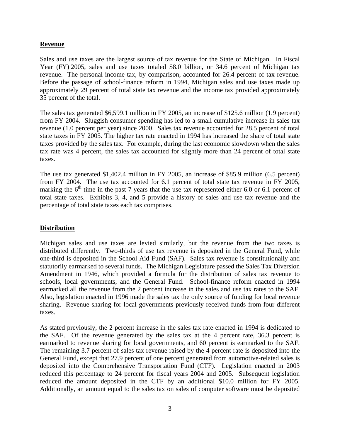#### **Revenue**

Sales and use taxes are the largest source of tax revenue for the State of Michigan. In Fiscal Year (FY) 2005, sales and use taxes totaled \$8.0 billion, or 34.6 percent of Michigan tax revenue. The personal income tax, by comparison, accounted for 26.4 percent of tax revenue. Before the passage of school-finance reform in 1994, Michigan sales and use taxes made up approximately 29 percent of total state tax revenue and the income tax provided approximately 35 percent of the total.

The sales tax generated \$6,599.1 million in FY 2005, an increase of \$125.6 million (1.9 percent) from FY 2004. Sluggish consumer spending has led to a small cumulative increase in sales tax revenue (1.0 percent per year) since 2000. Sales tax revenue accounted for 28.5 percent of total state taxes in FY 2005. The higher tax rate enacted in 1994 has increased the share of total state taxes provided by the sales tax. For example, during the last economic slowdown when the sales tax rate was 4 percent, the sales tax accounted for slightly more than 24 percent of total state taxes.

The use tax generated \$1,402.4 million in FY 2005, an increase of \$85.9 million (6.5 percent) from FY 2004. The use tax accounted for 6.1 percent of total state tax revenue in FY 2005, marking the  $6<sup>th</sup>$  time in the past 7 years that the use tax represented either 6.0 or 6.1 percent of total state taxes. Exhibits 3, 4, and 5 provide a history of sales and use tax revenue and the percentage of total state taxes each tax comprises.

#### **Distribution**

Michigan sales and use taxes are levied similarly, but the revenue from the two taxes is distributed differently. Two-thirds of use tax revenue is deposited in the General Fund, while one-third is deposited in the School Aid Fund (SAF). Sales tax revenue is constitutionally and statutorily earmarked to several funds. The Michigan Legislature passed the Sales Tax Diversion Amendment in 1946, which provided a formula for the distribution of sales tax revenue to schools, local governments, and the General Fund. School-finance reform enacted in 1994 earmarked all the revenue from the 2 percent increase in the sales and use tax rates to the SAF. Also, legislation enacted in 1996 made the sales tax the only source of funding for local revenue sharing. Revenue sharing for local governments previously received funds from four different taxes.

As stated previously, the 2 percent increase in the sales tax rate enacted in 1994 is dedicated to the SAF. Of the revenue generated by the sales tax at the 4 percent rate, 36.3 percent is earmarked to revenue sharing for local governments, and 60 percent is earmarked to the SAF. The remaining 3.7 percent of sales tax revenue raised by the 4 percent rate is deposited into the General Fund, except that 27.9 percent of one percent generated from automotive-related sales is deposited into the Comprehensive Transportation Fund (CTF). Legislation enacted in 2003 reduced this percentage to 24 percent for fiscal years 2004 and 2005. Subsequent legislation reduced the amount deposited in the CTF by an additional \$10.0 million for FY 2005. Additionally, an amount equal to the sales tax on sales of computer software must be deposited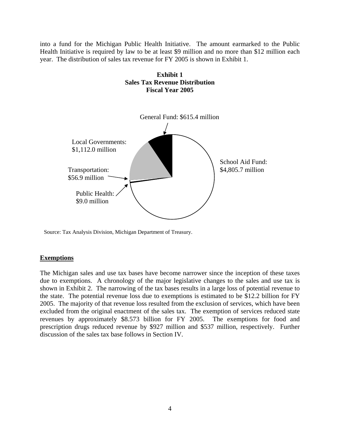into a fund for the Michigan Public Health Initiative. The amount earmarked to the Public Health Initiative is required by law to be at least \$9 million and no more than \$12 million each year. The distribution of sales tax revenue for FY 2005 is shown in Exhibit 1.



Source: Tax Analysis Division, Michigan Department of Treasury.

#### **Exemptions**

The Michigan sales and use tax bases have become narrower since the inception of these taxes due to exemptions. A chronology of the major legislative changes to the sales and use tax is shown in Exhibit 2. The narrowing of the tax bases results in a large loss of potential revenue to the state. The potential revenue loss due to exemptions is estimated to be \$12.2 billion for FY 2005. The majority of that revenue loss resulted from the exclusion of services, which have been excluded from the original enactment of the sales tax. The exemption of services reduced state revenues by approximately \$8.573 billion for FY 2005. The exemptions for food and prescription drugs reduced revenue by \$927 million and \$537 million, respectively. Further discussion of the sales tax base follows in Section IV.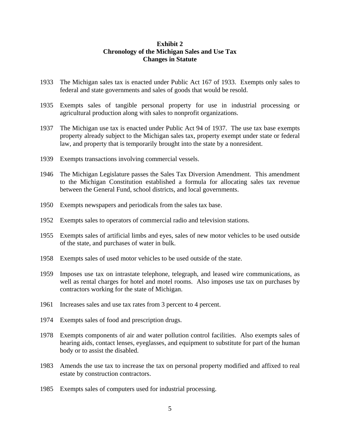#### **Exhibit 2 Chronology of the Michigan Sales and Use Tax Changes in Statute**

- 1933 The Michigan sales tax is enacted under Public Act 167 of 1933. Exempts only sales to federal and state governments and sales of goods that would be resold.
- 1935 Exempts sales of tangible personal property for use in industrial processing or agricultural production along with sales to nonprofit organizations.
- 1937 The Michigan use tax is enacted under Public Act 94 of 1937. The use tax base exempts property already subject to the Michigan sales tax, property exempt under state or federal law, and property that is temporarily brought into the state by a nonresident.
- 1939 Exempts transactions involving commercial vessels.
- 1946 The Michigan Legislature passes the Sales Tax Diversion Amendment. This amendment to the Michigan Constitution established a formula for allocating sales tax revenue between the General Fund, school districts, and local governments.
- 1950 Exempts newspapers and periodicals from the sales tax base.
- 1952 Exempts sales to operators of commercial radio and television stations.
- 1955 Exempts sales of artificial limbs and eyes, sales of new motor vehicles to be used outside of the state, and purchases of water in bulk.
- 1958 Exempts sales of used motor vehicles to be used outside of the state.
- 1959 Imposes use tax on intrastate telephone, telegraph, and leased wire communications, as well as rental charges for hotel and motel rooms. Also imposes use tax on purchases by contractors working for the state of Michigan.
- 1961 Increases sales and use tax rates from 3 percent to 4 percent.
- 1974 Exempts sales of food and prescription drugs.
- 1978 Exempts components of air and water pollution control facilities. Also exempts sales of hearing aids, contact lenses, eyeglasses, and equipment to substitute for part of the human body or to assist the disabled.
- 1983 Amends the use tax to increase the tax on personal property modified and affixed to real estate by construction contractors.
- 1985 Exempts sales of computers used for industrial processing.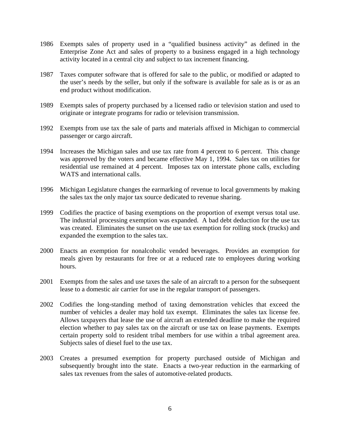- 1986 Exempts sales of property used in a "qualified business activity" as defined in the Enterprise Zone Act and sales of property to a business engaged in a high technology activity located in a central city and subject to tax increment financing.
- 1987 Taxes computer software that is offered for sale to the public, or modified or adapted to the user's needs by the seller, but only if the software is available for sale as is or as an end product without modification.
- 1989 Exempts sales of property purchased by a licensed radio or television station and used to originate or integrate programs for radio or television transmission.
- 1992 Exempts from use tax the sale of parts and materials affixed in Michigan to commercial passenger or cargo aircraft.
- 1994 Increases the Michigan sales and use tax rate from 4 percent to 6 percent. This change was approved by the voters and became effective May 1, 1994. Sales tax on utilities for residential use remained at 4 percent. Imposes tax on interstate phone calls, excluding WATS and international calls.
- 1996 Michigan Legislature changes the earmarking of revenue to local governments by making the sales tax the only major tax source dedicated to revenue sharing.
- 1999 Codifies the practice of basing exemptions on the proportion of exempt versus total use. The industrial processing exemption was expanded. A bad debt deduction for the use tax was created. Eliminates the sunset on the use tax exemption for rolling stock (trucks) and expanded the exemption to the sales tax.
- 2000 Enacts an exemption for nonalcoholic vended beverages. Provides an exemption for meals given by restaurants for free or at a reduced rate to employees during working hours.
- 2001 Exempts from the sales and use taxes the sale of an aircraft to a person for the subsequent lease to a domestic air carrier for use in the regular transport of passengers.
- 2002 Codifies the long-standing method of taxing demonstration vehicles that exceed the number of vehicles a dealer may hold tax exempt. Eliminates the sales tax license fee. Allows taxpayers that lease the use of aircraft an extended deadline to make the required election whether to pay sales tax on the aircraft or use tax on lease payments. Exempts certain property sold to resident tribal members for use within a tribal agreement area. Subjects sales of diesel fuel to the use tax.
- 2003 Creates a presumed exemption for property purchased outside of Michigan and subsequently brought into the state. Enacts a two-year reduction in the earmarking of sales tax revenues from the sales of automotive-related products.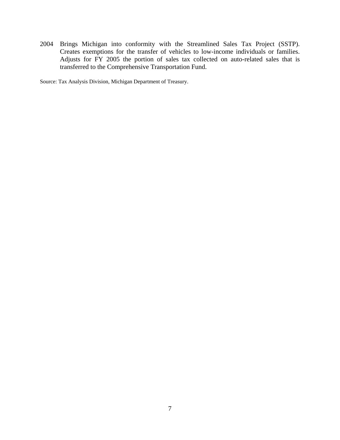2004 Brings Michigan into conformity with the Streamlined Sales Tax Project (SSTP). Creates exemptions for the transfer of vehicles to low-income individuals or families. Adjusts for FY 2005 the portion of sales tax collected on auto-related sales that is transferred to the Comprehensive Transportation Fund.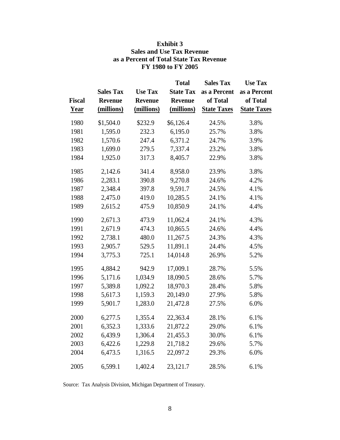| <b>Fiscal</b><br><b>Year</b> | <b>Sales Tax</b><br><b>Revenue</b><br>(millions) | <b>Use Tax</b><br><b>Revenue</b><br>(millions) | <b>Total</b><br><b>State Tax</b><br><b>Revenue</b><br>(millions) | <b>Sales Tax</b><br>as a Percent<br>of Total<br><b>State Taxes</b> | <b>Use Tax</b><br>as a Percent<br>of Total<br><b>State Taxes</b> |
|------------------------------|--------------------------------------------------|------------------------------------------------|------------------------------------------------------------------|--------------------------------------------------------------------|------------------------------------------------------------------|
| 1980                         | \$1,504.0                                        | \$232.9                                        | \$6,126.4                                                        | 24.5%                                                              | 3.8%                                                             |
| 1981                         | 1,595.0                                          | 232.3                                          | 6,195.0                                                          | 25.7%                                                              | 3.8%                                                             |
| 1982                         | 1,570.6                                          | 247.4                                          | 6,371.2                                                          | 24.7%                                                              | 3.9%                                                             |
| 1983                         | 1,699.0                                          | 279.5                                          | 7,337.4                                                          | 23.2%                                                              | 3.8%                                                             |
| 1984                         | 1,925.0                                          | 317.3                                          | 8,405.7                                                          | 22.9%                                                              | 3.8%                                                             |
| 1985                         | 2,142.6                                          | 341.4                                          | 8,958.0                                                          | 23.9%                                                              | 3.8%                                                             |
| 1986                         | 2,283.1                                          | 390.8                                          | 9,270.8                                                          | 24.6%                                                              | 4.2%                                                             |
| 1987                         | 2,348.4                                          | 397.8                                          | 9,591.7                                                          | 24.5%                                                              | 4.1%                                                             |
| 1988                         | 2,475.0                                          | 419.0                                          | 10,285.5                                                         | 24.1%                                                              | 4.1%                                                             |
| 1989                         | 2,615.2                                          | 475.9                                          | 10,850.9                                                         | 24.1%                                                              | 4.4%                                                             |
| 1990                         | 2,671.3                                          | 473.9                                          | 11,062.4                                                         | 24.1%                                                              | 4.3%                                                             |
| 1991                         | 2,671.9                                          | 474.3                                          | 10,865.5                                                         | 24.6%                                                              | 4.4%                                                             |
| 1992                         | 2,738.1                                          | 480.0                                          | 11,267.5                                                         | 24.3%                                                              | 4.3%                                                             |
| 1993                         | 2,905.7                                          | 529.5                                          | 11,891.1                                                         | 24.4%                                                              | 4.5%                                                             |
| 1994                         | 3,775.3                                          | 725.1                                          | 14,014.8                                                         | 26.9%                                                              | 5.2%                                                             |
| 1995                         | 4,884.2                                          | 942.9                                          | 17,009.1                                                         | 28.7%                                                              | 5.5%                                                             |
| 1996                         | 5,171.6                                          | 1,034.9                                        | 18,090.5                                                         | 28.6%                                                              | 5.7%                                                             |
| 1997                         | 5,389.8                                          | 1,092.2                                        | 18,970.3                                                         | 28.4%                                                              | 5.8%                                                             |
| 1998                         | 5,617.3                                          | 1,159.3                                        | 20,149.0                                                         | 27.9%                                                              | 5.8%                                                             |
| 1999                         | 5,901.7                                          | 1,283.0                                        | 21,472.8                                                         | 27.5%                                                              | 6.0%                                                             |
| 2000                         | 6,277.5                                          | 1,355.4                                        | 22,363.4                                                         | 28.1%                                                              | 6.1%                                                             |
| 2001                         | 6,352.3                                          | 1,333.6                                        | 21,872.2                                                         | 29.0%                                                              | 6.1%                                                             |
| 2002                         | 6,439.9                                          | 1,306.4                                        | 21,455.3                                                         | 30.0%                                                              | 6.1%                                                             |
| 2003                         | 6,422.6                                          | 1,229.8                                        | 21,718.2                                                         | 29.6%                                                              | 5.7%                                                             |
| 2004                         | 6,473.5                                          | 1,316.5                                        | 22,097.2                                                         | 29.3%                                                              | 6.0%                                                             |
| 2005                         | 6,599.1                                          | 1,402.4                                        | 23,121.7                                                         | 28.5%                                                              | 6.1%                                                             |

#### **Exhibit 3 Sales and Use Tax Revenue as a Percent of Total State Tax Revenue FY 1980 to FY 2005**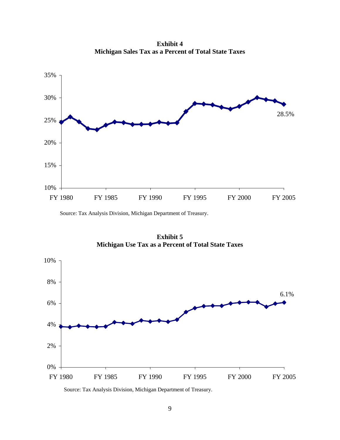**Exhibit 4 Michigan Sales Tax as a Percent of Total State Taxes**



Source: Tax Analysis Division, Michigan Department of Treasury.

**Exhibit 5 Michigan Use Tax as a Percent of Total State Taxes**

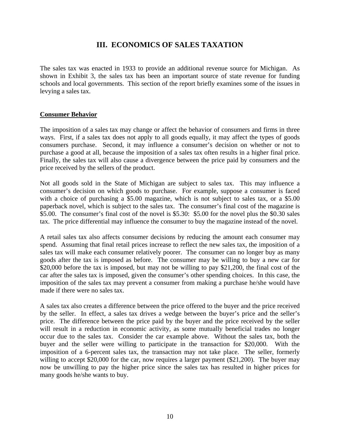## **III. ECONOMICS OF SALES TAXATION**

The sales tax was enacted in 1933 to provide an additional revenue source for Michigan. As shown in Exhibit 3, the sales tax has been an important source of state revenue for funding schools and local governments. This section of the report briefly examines some of the issues in levying a sales tax.

#### **Consumer Behavior**

The imposition of a sales tax may change or affect the behavior of consumers and firms in three ways. First, if a sales tax does not apply to all goods equally, it may affect the types of goods consumers purchase. Second, it may influence a consumer's decision on whether or not to purchase a good at all, because the imposition of a sales tax often results in a higher final price. Finally, the sales tax will also cause a divergence between the price paid by consumers and the price received by the sellers of the product.

Not all goods sold in the State of Michigan are subject to sales tax. This may influence a consumer's decision on which goods to purchase. For example, suppose a consumer is faced with a choice of purchasing a \$5.00 magazine, which is not subject to sales tax, or a \$5.00 paperback novel, which is subject to the sales tax. The consumer's final cost of the magazine is \$5.00. The consumer's final cost of the novel is \$5.30: \$5.00 for the novel plus the \$0.30 sales tax. The price differential may influence the consumer to buy the magazine instead of the novel.

A retail sales tax also affects consumer decisions by reducing the amount each consumer may spend. Assuming that final retail prices increase to reflect the new sales tax, the imposition of a sales tax will make each consumer relatively poorer. The consumer can no longer buy as many goods after the tax is imposed as before. The consumer may be willing to buy a new car for \$20,000 before the tax is imposed, but may not be willing to pay \$21,200, the final cost of the car after the sales tax is imposed, given the consumer's other spending choices. In this case, the imposition of the sales tax may prevent a consumer from making a purchase he/she would have made if there were no sales tax.

A sales tax also creates a difference between the price offered to the buyer and the price received by the seller. In effect, a sales tax drives a wedge between the buyer's price and the seller's price. The difference between the price paid by the buyer and the price received by the seller will result in a reduction in economic activity, as some mutually beneficial trades no longer occur due to the sales tax. Consider the car example above. Without the sales tax, both the buyer and the seller were willing to participate in the transaction for \$20,000. With the imposition of a 6-percent sales tax, the transaction may not take place. The seller, formerly willing to accept \$20,000 for the car, now requires a larger payment (\$21,200). The buyer may now be unwilling to pay the higher price since the sales tax has resulted in higher prices for many goods he/she wants to buy.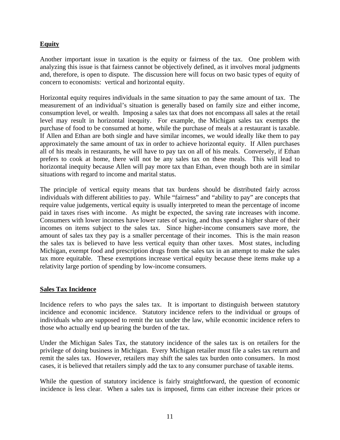#### **Equity**

Another important issue in taxation is the equity or fairness of the tax. One problem with analyzing this issue is that fairness cannot be objectively defined, as it involves moral judgments and, therefore, is open to dispute. The discussion here will focus on two basic types of equity of concern to economists: vertical and horizontal equity.

Horizontal equity requires individuals in the same situation to pay the same amount of tax. The measurement of an individual's situation is generally based on family size and either income, consumption level, or wealth. Imposing a sales tax that does not encompass all sales at the retail level may result in horizontal inequity. For example, the Michigan sales tax exempts the purchase of food to be consumed at home, while the purchase of meals at a restaurant is taxable. If Allen and Ethan are both single and have similar incomes, we would ideally like them to pay approximately the same amount of tax in order to achieve horizontal equity. If Allen purchases all of his meals in restaurants, he will have to pay tax on all of his meals. Conversely, if Ethan prefers to cook at home, there will not be any sales tax on these meals. This will lead to horizontal inequity because Allen will pay more tax than Ethan, even though both are in similar situations with regard to income and marital status.

The principle of vertical equity means that tax burdens should be distributed fairly across individuals with different abilities to pay. While "fairness" and "ability to pay" are concepts that require value judgements, vertical equity is usually interpreted to mean the percentage of income paid in taxes rises with income. As might be expected, the saving rate increases with income. Consumers with lower incomes have lower rates of saving, and thus spend a higher share of their incomes on items subject to the sales tax. Since higher-income consumers save more, the amount of sales tax they pay is a smaller percentage of their incomes. This is the main reason the sales tax is believed to have less vertical equity than other taxes. Most states, including Michigan, exempt food and prescription drugs from the sales tax in an attempt to make the sales tax more equitable. These exemptions increase vertical equity because these items make up a relativity large portion of spending by low-income consumers.

#### **Sales Tax Incidence**

Incidence refers to who pays the sales tax. It is important to distinguish between statutory incidence and economic incidence. Statutory incidence refers to the individual or groups of individuals who are supposed to remit the tax under the law, while economic incidence refers to those who actually end up bearing the burden of the tax.

Under the Michigan Sales Tax, the statutory incidence of the sales tax is on retailers for the privilege of doing business in Michigan. Every Michigan retailer must file a sales tax return and remit the sales tax. However, retailers may shift the sales tax burden onto consumers. In most cases, it is believed that retailers simply add the tax to any consumer purchase of taxable items.

While the question of statutory incidence is fairly straightforward, the question of economic incidence is less clear. When a sales tax is imposed, firms can either increase their prices or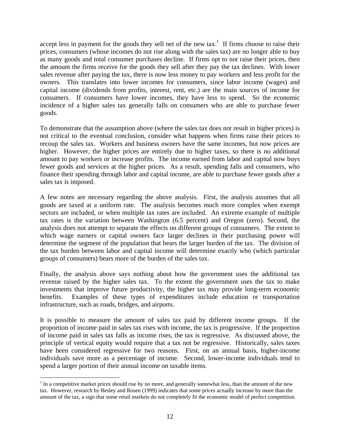accept less in payment for the goods they sell net of the new  $\text{tax.}^1$  If firms choose to raise their prices, consumers (whose incomes do not rise along with the sales tax) are no longer able to buy as many goods and total consumer purchases decline. If firms opt to not raise their prices, then the amount the firms receive for the goods they sell after they pay the tax declines. With lower sales revenue after paying the tax, there is now less money to pay workers and less profit for the owners. This translates into lower incomes for consumers, since labor income (wages) and capital income (dividends from profits, interest, rent, etc.) are the main sources of income for consumers. If consumers have lower incomes, they have less to spend. So the economic incidence of a higher sales tax generally falls on consumers who are able to purchase fewer goods.

To demonstrate that the assumption above (where the sales tax does not result in higher prices) is not critical to the eventual conclusion, consider what happens when firms raise their prices to recoup the sales tax. Workers and business owners have the same incomes, but now prices are higher. However, the higher prices are entirely due to higher taxes, so there is no additional amount to pay workers or increase profits. The income earned from labor and capital now buys fewer goods and services at the higher prices. As a result, spending falls and consumers, who finance their spending through labor and capital income, are able to purchase fewer goods after a sales tax is imposed.

A few notes are necessary regarding the above analysis. First, the analysis assumes that all goods are taxed at a uniform rate. The analysis becomes much more complex when exempt sectors are included, or when multiple tax rates are included. An extreme example of multiple tax rates is the variation between Washington (6.5 percent) and Oregon (zero). Second, the analysis does not attempt to separate the effects on different groups of consumers. The extent to which wage earners or capital owners face larger declines in their purchasing power will determine the segment of the population that bears the larger burden of the tax. The division of the tax burden between labor and capital income will determine exactly who (which particular groups of consumers) bears more of the burden of the sales tax.

Finally, the analysis above says nothing about how the government uses the additional tax revenue raised by the higher sales tax. To the extent the government uses the tax to make investments that improve future productivity, the higher tax may provide long-term economic benefits. Examples of these types of expenditures include education or transportation infrastructure, such as roads, bridges, and airports.

It is possible to measure the amount of sales tax paid by different income groups. If the proportion of income paid in sales tax rises with income, the tax is progressive. If the proportion of income paid in sales tax falls as income rises, the tax is regressive. As discussed above, the principle of vertical equity would require that a tax not be regressive. Historically, sales taxes have been considered regressive for two reasons. First, on an annual basis, higher-income individuals save more as a percentage of income. Second, lower-income individuals tend to spend a larger portion of their annual income on taxable items.

 $\overline{a}$ 

 $<sup>1</sup>$  In a competitive market prices should rise by no more, and generally somewhat less, than the amount of the new</sup> tax. However, research by Besley and Rosen (1999) indicates that some prices actually increase by more than the amount of the tax, a sign that some retail markets do not completely fit the economic model of perfect competition.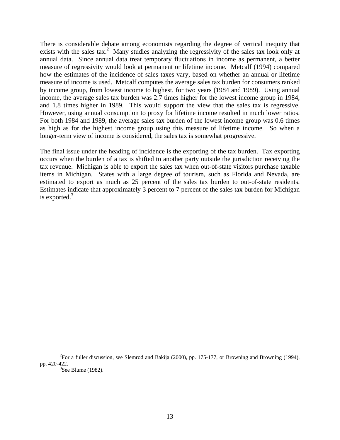There is considerable debate among economists regarding the degree of vertical inequity that exists with the sales tax.<sup>2</sup> Many studies analyzing the regressivity of the sales tax look only at annual data. Since annual data treat temporary fluctuations in income as permanent, a better measure of regressivity would look at permanent or lifetime income. Metcalf (1994) compared how the estimates of the incidence of sales taxes vary, based on whether an annual or lifetime measure of income is used. Metcalf computes the average sales tax burden for consumers ranked by income group, from lowest income to highest, for two years (1984 and 1989). Using annual income, the average sales tax burden was 2.7 times higher for the lowest income group in 1984, and 1.8 times higher in 1989. This would support the view that the sales tax is regressive. However, using annual consumption to proxy for lifetime income resulted in much lower ratios. For both 1984 and 1989, the average sales tax burden of the lowest income group was 0.6 times as high as for the highest income group using this measure of lifetime income. So when a longer-term view of income is considered, the sales tax is somewhat progressive.

The final issue under the heading of incidence is the exporting of the tax burden. Tax exporting occurs when the burden of a tax is shifted to another party outside the jurisdiction receiving the tax revenue. Michigan is able to export the sales tax when out-of-state visitors purchase taxable items in Michigan. States with a large degree of tourism, such as Florida and Nevada, are estimated to export as much as 25 percent of the sales tax burden to out-of-state residents. Estimates indicate that approximately 3 percent to 7 percent of the sales tax burden for Michigan is exported. $3$ 

 $\frac{1}{2}$ <sup>2</sup>For a fuller discussion, see Slemrod and Bakija (2000), pp. 175-177, or Browning and Browning (1994), pp. 420-422.

 $3$ See Blume (1982).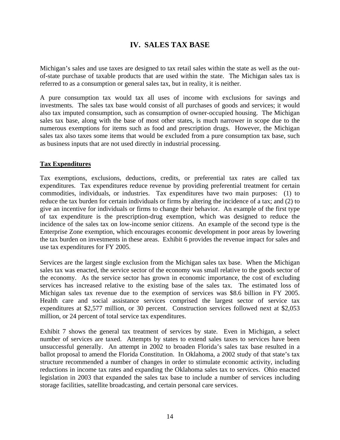## **IV. SALES TAX BASE**

Michigan's sales and use taxes are designed to tax retail sales within the state as well as the outof-state purchase of taxable products that are used within the state. The Michigan sales tax is referred to as a consumption or general sales tax, but in reality, it is neither.

A pure consumption tax would tax all uses of income with exclusions for savings and investments. The sales tax base would consist of all purchases of goods and services; it would also tax imputed consumption, such as consumption of owner-occupied housing. The Michigan sales tax base, along with the base of most other states, is much narrower in scope due to the numerous exemptions for items such as food and prescription drugs. However, the Michigan sales tax also taxes some items that would be excluded from a pure consumption tax base, such as business inputs that are not used directly in industrial processing.

#### **Tax Expenditures**

Tax exemptions, exclusions, deductions, credits, or preferential tax rates are called tax expenditures. Tax expenditures reduce revenue by providing preferential treatment for certain commodities, individuals, or industries. Tax expenditures have two main purposes: (1) to reduce the tax burden for certain individuals or firms by altering the incidence of a tax; and (2) to give an incentive for individuals or firms to change their behavior. An example of the first type of tax expenditure is the prescription-drug exemption, which was designed to reduce the incidence of the sales tax on low-income senior citizens. An example of the second type is the Enterprise Zone exemption, which encourages economic development in poor areas by lowering the tax burden on investments in these areas. Exhibit 6 provides the revenue impact for sales and use tax expenditures for FY 2005.

Services are the largest single exclusion from the Michigan sales tax base. When the Michigan sales tax was enacted, the service sector of the economy was small relative to the goods sector of the economy. As the service sector has grown in economic importance, the cost of excluding services has increased relative to the existing base of the sales tax. The estimated loss of Michigan sales tax revenue due to the exemption of services was \$8.6 billion in FY 2005. Health care and social assistance services comprised the largest sector of service tax expenditures at \$2,577 million, or 30 percent. Construction services followed next at \$2,053 million, or 24 percent of total service tax expenditures.

Exhibit 7 shows the general tax treatment of services by state. Even in Michigan, a select number of services are taxed. Attempts by states to extend sales taxes to services have been unsuccessful generally. An attempt in 2002 to broaden Florida's sales tax base resulted in a ballot proposal to amend the Florida Constitution. In Oklahoma, a 2002 study of that state's tax structure recommended a number of changes in order to stimulate economic activity, including reductions in income tax rates and expanding the Oklahoma sales tax to services. Ohio enacted legislation in 2003 that expanded the sales tax base to include a number of services including storage facilities, satellite broadcasting, and certain personal care services.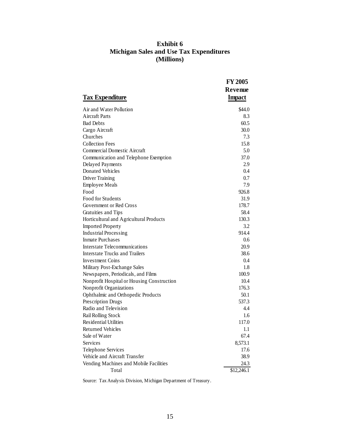#### **Exhibit 6 Michigan Sales and Use Tax Expenditures (Millions)**

| <b>Tax Expenditure</b>                     | <b>FY 2005</b><br>Revenue<br><b>Impact</b> |
|--------------------------------------------|--------------------------------------------|
| Air and Water Pollution                    | \$44.0                                     |
| Aircraft Parts                             | 8.3                                        |
| <b>Bad Debts</b>                           | 60.5                                       |
| Cargo Aircraft                             | 30.0                                       |
| Churches                                   | 7.3                                        |
| <b>Collection Fees</b>                     | 15.8                                       |
| <b>Commercial Domestic Aircraft</b>        | 5.0                                        |
| Communication and Telephone Exemption      | 37.0                                       |
| Delayed Payments                           | 2.9                                        |
| <b>Donated Vehicles</b>                    | 0.4                                        |
| Driver Training                            | 0.7                                        |
| <b>Employee Meals</b>                      | 7.9                                        |
| Food                                       | 926.8                                      |
| Food for Students                          | 31.9                                       |
| Government or Red Cross                    | 178.7                                      |
| Gratuities and Tips                        | 58.4                                       |
| Horticultural and Agricultural Products    | 130.3                                      |
| <b>Imported Property</b>                   | 3.2                                        |
| <b>Industrial Processing</b>               | 914.4                                      |
| <b>Inmate Purchases</b>                    | 0.6                                        |
| <b>Interstate Telecommunications</b>       | 20.9                                       |
| <b>Interstate Trucks and Trailers</b>      | 38.6                                       |
| Investment Coins                           | 0.4                                        |
| Military Post-Exchange Sales               | 1.8                                        |
| Newspapers, Periodicals, and Films         | 100.9                                      |
| Nonprofit Hospital or Housing Construction | 10.4                                       |
| Nonprofit Organizations                    | 176.3                                      |
| Ophthalmic and Orthopedic Products         | 50.1                                       |
| Prescription Drugs                         | 537.3                                      |
| Radio and Television                       | 4.4                                        |
| Rail Rolling Stock                         | 1.6                                        |
| <b>Residential Utilities</b>               | 117.0                                      |
| Returned Vehicles                          | 1.1                                        |
| Sale of Water                              | 67.4                                       |
| Services                                   | 8,573.1                                    |
| <b>Telephone Services</b>                  | 17.6                                       |
| Vehicle and Aircraft Transfer              | 38.9                                       |
| Vending Machines and Mobile Facilities     | 24.3                                       |
| Total                                      | \$12,246.1                                 |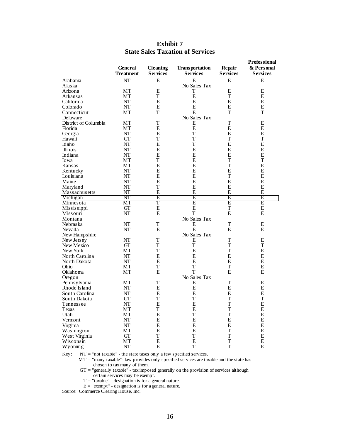|                      |                  |                 |                       |                 | <b>Professional</b> |
|----------------------|------------------|-----------------|-----------------------|-----------------|---------------------|
|                      | General          | <b>Cleaning</b> | <b>Transportation</b> | Repair          | & Personal          |
|                      | <b>Treatment</b> | <b>Services</b> | <b>Services</b>       | <b>Services</b> | <b>Services</b>     |
| Alabama              | NT               | Е               | E                     | E               | E                   |
| Alaska               |                  |                 | No Sales Tax          |                 |                     |
|                      |                  | E               |                       | E               |                     |
| Arizona              | МT               |                 | T                     | T               | E                   |
| Arkansas             | МT               | T               | E                     |                 | E                   |
| California           | NT               | E               | E                     | E               | E                   |
| Colorado             | NT               | E               | E                     | E               | Ε                   |
| Connecticut          | МT               | T               | E                     | T               | T                   |
| Delaware             |                  |                 | No Sales Tax          |                 |                     |
| District of Columbia | <b>MT</b>        | T               | Ε                     | T               | E                   |
| Florida              | МT               | E               | E                     | E               | E                   |
| Georgia              | NT               | E               | T                     | E               | E                   |
| Hawaii               | GT               | T               | T                     | T               | $\mathbf T$         |
| Idaho                | NT               | E               | Т                     | E               | E                   |
| Illinois             | NT               | E               | E                     | E               | E                   |
| Indiana              | NT               | Е               | Ε                     | E               | E                   |
| Iowa                 | MT               | T               | E                     | T               | $\mathbf T$         |
| Kansas               | МT               | E               | E                     | T               | E                   |
| Kentucky             | NT               | E               | E                     | E               | E                   |
| Louisiana            | NT               | Е               | E                     | T               | E                   |
|                      |                  | E               | E                     | E               |                     |
| Maine                | NT               |                 |                       |                 | E                   |
| Maryland             | NT               | T               | E                     | E               | E                   |
| Massachusetts        | NT               | E               | E                     | E               | E                   |
| Michigan             | $_{\rm NT}$      | Ε               | Ε                     | Ε               | Ε                   |
| Minnesota            | MТ               | Τ               | Ε                     | Ε               | Ε                   |
| Mississippi          | GT               | E               | E                     | T               | E                   |
| Missouri             | NT               | E               | T                     | E               | E                   |
| Montana              |                  |                 | No Sales Tax          |                 |                     |
| Nebraska             | NT               | T               | Ε                     | T               | Ε                   |
| Nevada               | NT               | E               | E                     | E               | E                   |
| New Hampshire        |                  |                 | No Sales Tax          |                 |                     |
| New Jersey           | NT               | T               | Ε                     | T               | E                   |
| New Mexico           | GТ               | T               | T                     | T               | T                   |
| New York             | МT               | T               | E                     | T               | E                   |
| North Carolina       | NT               | E               | E                     | E               | E                   |
| North Dakota         | NT               | E               | E                     | E               | E                   |
| Ohio                 | MT               | $\mathbf T$     | T                     | T               | E                   |
| Oklahoma             | МT               | E               | T                     | E               | E                   |
| Oregon               |                  |                 | No Sales Tax          |                 |                     |
| Pennsylvania         | МT               | Т               | Ε                     | T               | E                   |
| Rhode Island         | NT               | E               | ${\bf E}$             | E               | E                   |
| South Carolina       | NT               | E               | E                     | E               | E                   |
| South Dakota         | GТ               | $\mathbf T$     | T                     | T               | $\mathbf T$         |
|                      | NT               | E               | E                     | T               | E                   |
| Tennessee            |                  |                 |                       |                 |                     |
| Texas                | МT               | T               | E                     | T               | E                   |
| Utah                 | MT               | E               | T                     | T               | E                   |
| Vermont              | NT               | E               | E                     | E               | E                   |
| Virginia             | NT               | E               | E                     | E               | E                   |
| Washington           | МT               | Е               | E                     | T               | E                   |
| West Virginia        | GT               | T               | T                     | T               | E                   |
| Wisconsin            | MТ               | E               | E                     | T               | E                   |
| Wyoming              | NT               | E               | T                     | T               | E                   |

#### **Exhibit 7 State Sales Taxation of Services**

Key: NT = "not taxable" - the state taxes only a few specified services.

 $MT =$  "many taxable"- law provides only specified services are taxable and the state has chosen to tax many of them.

GT = "generally taxable" - tax imposed generally on the provision of services although certain services may be exempt.

 $T = "taxable" - designation is for a general nature.$ 

 $E = "exempt" - designation is for a general nature.$ 

Source: Commerce Clearing House, Inc.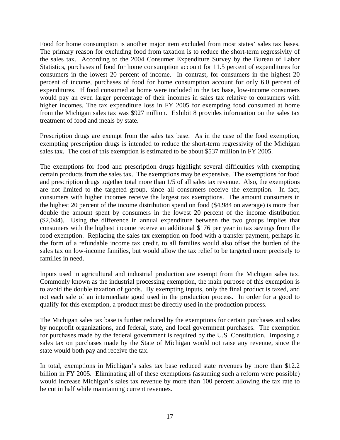Food for home consumption is another major item excluded from most states' sales tax bases. The primary reason for excluding food from taxation is to reduce the short-term regressivity of the sales tax. According to the 2004 Consumer Expenditure Survey by the Bureau of Labor Statistics, purchases of food for home consumption account for 11.5 percent of expenditures for consumers in the lowest 20 percent of income. In contrast, for consumers in the highest 20 percent of income, purchases of food for home consumption account for only 6.0 percent of expenditures. If food consumed at home were included in the tax base, low-income consumers would pay an even larger percentage of their incomes in sales tax relative to consumers with higher incomes. The tax expenditure loss in FY 2005 for exempting food consumed at home from the Michigan sales tax was \$927 million. Exhibit 8 provides information on the sales tax treatment of food and meals by state.

Prescription drugs are exempt from the sales tax base. As in the case of the food exemption, exempting prescription drugs is intended to reduce the short-term regressivity of the Michigan sales tax. The cost of this exemption is estimated to be about \$537 million in FY 2005.

The exemptions for food and prescription drugs highlight several difficulties with exempting certain products from the sales tax. The exemptions may be expensive. The exemptions for food and prescription drugs together total more than 1/5 of all sales tax revenue. Also, the exemptions are not limited to the targeted group, since all consumers receive the exemption. In fact, consumers with higher incomes receive the largest tax exemptions. The amount consumers in the highest 20 percent of the income distribution spend on food (\$4,984 on average) is more than double the amount spent by consumers in the lowest 20 percent of the income distribution (\$2,044). Using the difference in annual expenditure between the two groups implies that consumers with the highest income receive an additional \$176 per year in tax savings from the food exemption. Replacing the sales tax exemption on food with a transfer payment, perhaps in the form of a refundable income tax credit, to all families would also offset the burden of the sales tax on low-income families, but would allow the tax relief to be targeted more precisely to families in need.

Inputs used in agricultural and industrial production are exempt from the Michigan sales tax. Commonly known as the industrial processing exemption, the main purpose of this exemption is to avoid the double taxation of goods. By exempting inputs, only the final product is taxed, and not each sale of an intermediate good used in the production process. In order for a good to qualify for this exemption, a product must be directly used in the production process.

The Michigan sales tax base is further reduced by the exemptions for certain purchases and sales by nonprofit organizations, and federal, state, and local government purchases. The exemption for purchases made by the federal government is required by the U.S. Constitution. Imposing a sales tax on purchases made by the State of Michigan would not raise any revenue, since the state would both pay and receive the tax.

In total, exemptions in Michigan's sales tax base reduced state revenues by more than \$12.2 billion in FY 2005. Eliminating all of these exemptions (assuming such a reform were possible) would increase Michigan's sales tax revenue by more than 100 percent allowing the tax rate to be cut in half while maintaining current revenues.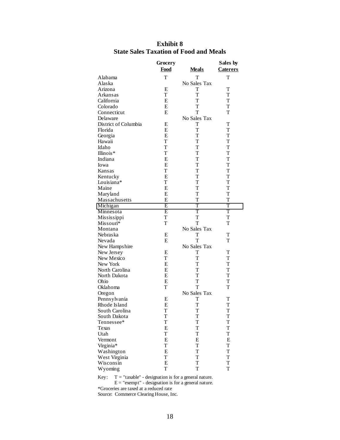|                      | Grocery     |              | Sales by        |
|----------------------|-------------|--------------|-----------------|
|                      | Food        | <b>Meals</b> | <b>Caterers</b> |
| Alabama              | т           | т            | т               |
| Alaska               |             | No Sales Tax |                 |
| Arizona              | Е           | Т            | T               |
| Arkansas             | T           | T            | T               |
| California           | E           | T            | T               |
| Colorado             | E           | T            | T               |
| Connecticut          | Е           | T            | T               |
| Delaware             |             | No Sales Tax |                 |
| District of Columbia | Е           | т            | Т               |
| Florida              | E           | T            | T               |
| Georgia              | Е           | T            | T               |
| Hawaii               | T           | T            | T               |
| Idaho                | T           | T            | T               |
| Illinois*            | T           | T            | T               |
| Indiana              | Е           | T            | T               |
| Iowa                 | Е           | T            | T               |
| Kansas               | T           | T            | T               |
|                      | E           | T            | T               |
| Kentucky             |             |              |                 |
| Louisiana*           | T           | T            | T               |
| Maine                | Е           | T            | T               |
| Maryland             | E           | T            | T               |
| Massachusetts        | E           | T            | T               |
| Michigan             | Ε           | T            | T               |
| Minnesota            | Ε           | T            | T               |
| Mississippi          | T           | T            | T               |
| Missouri*            | T           | T            | T               |
| Montana              |             | No Sales Tax |                 |
| Nebraska             | Е           | T            | T               |
| Nevada               | E           | T            | т               |
| New Hampshire        |             | No Sales Tax |                 |
| New Jersey           | Е           | Т            | T               |
| New Mexico           | T           | T            | T               |
| New York             | E           | T            | T               |
| North Carolina       | E           | T            | T               |
| North Dakota         | Е           | T            | T               |
| Ohio                 | E           | T            | T               |
| Oklahoma             | T           | T            | T               |
| Oregon               |             | No Sales Tax |                 |
| Pennsylvania         | Е           | T            | Т               |
| Rhode Island         | E           | T            | T               |
| South Carolina       | $\mathbf T$ | $\mathbf T$  | $\mathbf T$     |
| South Dakota         | T           | T            | T               |
| Tennessee*           | T           | T            | T               |
| Texas                | E           | T            | T               |
| Utah                 | T           | T            | T               |
| Vermont              | E           | E            | E               |
| Virginia*            | T           | T            | T               |
| Washington           | E           | T            | T               |
| West Virginia        | T           | T            | T               |
| Wisconsin            | E           | T            | T               |
| Wyoming              | T           | T            | T               |

#### **Exhibit 8 State Sales Taxation of Food and Meals**

Key:  $T = "taxable" - designation is for a general nature.$  $E = "exempt" - designation is for a general nature.$ 

\*Groceries are taxed at a reduced rate Source: Commerce Clearing House, Inc.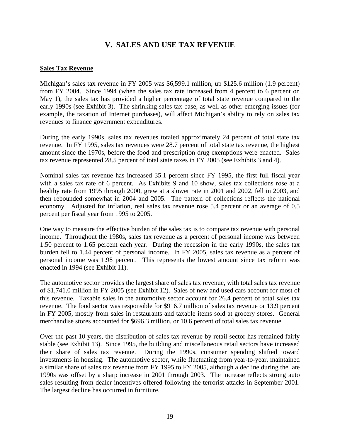## **V. SALES AND USE TAX REVENUE**

#### **Sales Tax Revenue**

Michigan's sales tax revenue in FY 2005 was \$6,599.1 million, up \$125.6 million (1.9 percent) from FY 2004. Since 1994 (when the sales tax rate increased from 4 percent to 6 percent on May 1), the sales tax has provided a higher percentage of total state revenue compared to the early 1990s (see Exhibit 3). The shrinking sales tax base, as well as other emerging issues (for example, the taxation of Internet purchases), will affect Michigan's ability to rely on sales tax revenues to finance government expenditures.

During the early 1990s, sales tax revenues totaled approximately 24 percent of total state tax revenue. In FY 1995, sales tax revenues were 28.7 percent of total state tax revenue, the highest amount since the 1970s, before the food and prescription drug exemptions were enacted. Sales tax revenue represented 28.5 percent of total state taxes in FY 2005 (see Exhibits 3 and 4).

Nominal sales tax revenue has increased 35.1 percent since FY 1995, the first full fiscal year with a sales tax rate of 6 percent. As Exhibits 9 and 10 show, sales tax collections rose at a healthy rate from 1995 through 2000, grew at a slower rate in 2001 and 2002, fell in 2003, and then rebounded somewhat in 2004 and 2005. The pattern of collections reflects the national economy. Adjusted for inflation, real sales tax revenue rose 5.4 percent or an average of 0.5 percent per fiscal year from 1995 to 2005.

One way to measure the effective burden of the sales tax is to compare tax revenue with personal income. Throughout the 1980s, sales tax revenue as a percent of personal income was between 1.50 percent to 1.65 percent each year. During the recession in the early 1990s, the sales tax burden fell to 1.44 percent of personal income. In FY 2005, sales tax revenue as a percent of personal income was 1.98 percent. This represents the lowest amount since tax reform was enacted in 1994 (see Exhibit 11).

The automotive sector provides the largest share of sales tax revenue, with total sales tax revenue of \$1,741.0 million in FY 2005 (see Exhibit 12). Sales of new and used cars account for most of this revenue. Taxable sales in the automotive sector account for 26.4 percent of total sales tax revenue. The food sector was responsible for \$916.7 million of sales tax revenue or 13.9 percent in FY 2005, mostly from sales in restaurants and taxable items sold at grocery stores. General merchandise stores accounted for \$696.3 million, or 10.6 percent of total sales tax revenue.

Over the past 10 years, the distribution of sales tax revenue by retail sector has remained fairly stable (see Exhibit 13). Since 1995, the building and miscellaneous retail sectors have increased their share of sales tax revenue. During the 1990s, consumer spending shifted toward investments in housing. The automotive sector, while fluctuating from year-to-year, maintained a similar share of sales tax revenue from FY 1995 to FY 2005, although a decline during the late 1990s was offset by a sharp increase in 2001 through 2003. The increase reflects strong auto sales resulting from dealer incentives offered following the terrorist attacks in September 2001. The largest decline has occurred in furniture.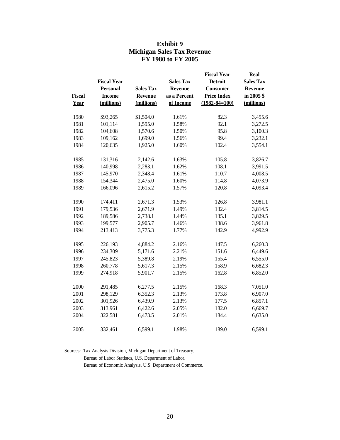| <b>Exhibit 9</b>                  |  |  |  |  |
|-----------------------------------|--|--|--|--|
| <b>Michigan Sales Tax Revenue</b> |  |  |  |  |
| FY 1980 to FY 2005                |  |  |  |  |

|               | <b>Fiscal Year</b> |                  | <b>Sales Tax</b> | <b>Fiscal Year</b><br><b>Detroit</b> | <b>Real</b><br><b>Sales Tax</b> |
|---------------|--------------------|------------------|------------------|--------------------------------------|---------------------------------|
|               | <b>Personal</b>    | <b>Sales Tax</b> | <b>Revenue</b>   | <b>Consumer</b>                      | <b>Revenue</b>                  |
| <b>Fiscal</b> | <b>Income</b>      |                  | as a Percent     | <b>Price Index</b>                   | in 2005\$                       |
|               |                    | Revenue          |                  |                                      |                                 |
| Year          | (millions)         | (millions)       | of Income        | $(1982 - 84 = 100)$                  | (millions)                      |
| 1980          | \$93,265           | \$1,504.0        | 1.61%            | 82.3                                 | 3,455.6                         |
| 1981          | 101,114            | 1,595.0          | 1.58%            | 92.1                                 | 3,272.5                         |
| 1982          | 104,608            | 1,570.6          | 1.50%            | 95.8                                 | 3,100.3                         |
| 1983          | 109,162            | 1,699.0          | 1.56%            | 99.4                                 | 3,232.1                         |
| 1984          | 120,635            | 1,925.0          | 1.60%            | 102.4                                | 3,554.1                         |
| 1985          | 131,316            | 2,142.6          | 1.63%            | 105.8                                | 3,826.7                         |
| 1986          | 140,998            | 2,283.1          | 1.62%            | 108.1                                | 3,991.5                         |
| 1987          | 145,970            | 2,348.4          | 1.61%            | 110.7                                | 4,008.5                         |
| 1988          | 154,344            | 2,475.0          | 1.60%            | 114.8                                | 4,073.9                         |
| 1989          | 166,096            | 2,615.2          | 1.57%            | 120.8                                | 4,093.4                         |
| 1990          | 174,411            | 2,671.3          | 1.53%            | 126.8                                | 3,981.1                         |
| 1991          | 179,536            | 2,671.9          | 1.49%            | 132.4                                | 3,814.5                         |
| 1992          | 189,586            | 2,738.1          | 1.44%            | 135.1                                | 3,829.5                         |
| 1993          | 199,577            | 2,905.7          | 1.46%            | 138.6                                | 3,961.8                         |
| 1994          | 213,413            | 3,775.3          | 1.77%            | 142.9                                | 4,992.9                         |
| 1995          | 226,193            | 4,884.2          | 2.16%            | 147.5                                | 6,260.3                         |
| 1996          | 234,309            | 5,171.6          | 2.21%            | 151.6                                | 6,449.6                         |
| 1997          | 245,823            | 5,389.8          | 2.19%            | 155.4                                | 6,555.0                         |
| 1998          | 260,778            | 5,617.3          | 2.15%            | 158.9                                | 6,682.3                         |
| 1999          | 274,918            | 5,901.7          | 2.15%            | 162.8                                | 6,852.0                         |
| 2000          | 291,485            | 6,277.5          | 2.15%            | 168.3                                | 7,051.0                         |
| 2001          | 298,129            | 6,352.3          | 2.13%            | 173.8                                | 6,907.0                         |
| 2002          | 301,926            | 6,439.9          | 2.13%            | 177.5                                | 6,857.1                         |
| 2003          | 313,961            | 6,422.6          | 2.05%            | 182.0                                | 6,669.7                         |
| 2004          | 322,581            | 6,473.5          | 2.01%            | 184.4                                | 6,635.0                         |
| 2005          | 332,461            | 6,599.1          | 1.98%            | 189.0                                | 6,599.1                         |

Sources: Tax Analysis Division, Michigan Department of Treasury.

Bureau of Labor Statistcs, U.S. Department of Labor.

Bureau of Economic Analysis, U.S. Department of Commerce.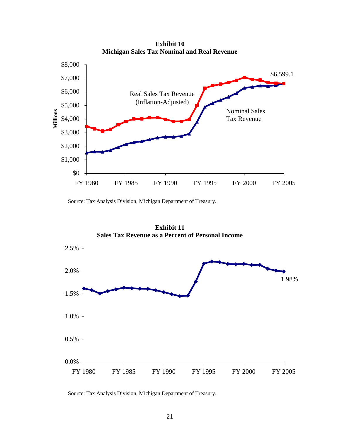**Exhibit 10 Michigan Sales Tax Nominal and Real Revenue**



Source: Tax Analysis Division, Michigan Department of Treasury.



**Exhibit 11 Sales Tax Revenue as a Percent of Personal Income**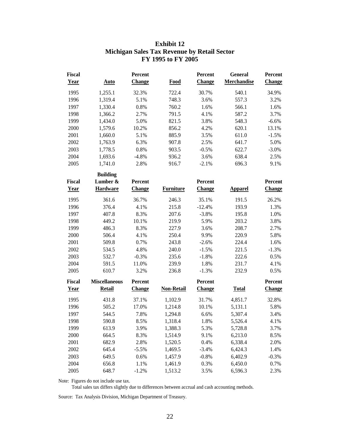| <b>Fiscal</b><br><b>Year</b> | <b>Auto</b>          | Percent<br><b>Change</b> | <b>Food</b>       | Percent<br>Change | General<br><b>Merchandise</b> | Percent<br><b>Change</b> |
|------------------------------|----------------------|--------------------------|-------------------|-------------------|-------------------------------|--------------------------|
| 1995                         | 1,255.1              | 32.3%                    | 722.4             | 30.7%             | 540.1                         | 34.9%                    |
| 1996                         | 1,319.4              | 5.1%                     | 748.3             | 3.6%              | 557.3                         | 3.2%                     |
| 1997                         | 1,330.4              | 0.8%                     | 760.2             | 1.6%              | 566.1                         | 1.6%                     |
| 1998                         | 1,366.2              | 2.7%                     | 791.5             | 4.1%              | 587.2                         | 3.7%                     |
| 1999                         | 1,434.0              | 5.0%                     | 821.5             | 3.8%              | 548.3                         | $-6.6%$                  |
| 2000                         | 1,579.6              | 10.2%                    | 856.2             | 4.2%              | 620.1                         | 13.1%                    |
| 2001                         | 1,660.0              | 5.1%                     | 885.9             | 3.5%              | 611.0                         | $-1.5%$                  |
| 2002                         | 1,763.9              | 6.3%                     | 907.8             | 2.5%              | 641.7                         | 5.0%                     |
| 2003                         | 1,778.5              | 0.8%                     | 903.5             | $-0.5%$           | 622.7                         | $-3.0%$                  |
| 2004                         | 1,693.6              | $-4.8%$                  | 936.2             | 3.6%              | 638.4                         | 2.5%                     |
| 2005                         | 1,741.0              | 2.8%                     | 916.7             | $-2.1%$           | 696.3                         | 9.1%                     |
|                              | <b>Building</b>      |                          |                   |                   |                               |                          |
| <b>Fiscal</b>                | Lumber &             | Percent                  |                   | Percent           |                               | Percent                  |
| Year                         | <b>Hardware</b>      | <b>Change</b>            | <b>Furniture</b>  | <b>Change</b>     | <b>Apparel</b>                | <b>Change</b>            |
| 1995                         | 361.6                | 36.7%                    | 246.3             | 35.1%             | 191.5                         | 26.2%                    |
| 1996                         | 376.4                | 4.1%                     | 215.8             | $-12.4%$          | 193.9                         | 1.3%                     |
| 1997                         | 407.8                | 8.3%                     | 207.6             | $-3.8%$           | 195.8                         | 1.0%                     |
| 1998                         | 449.2                | 10.1%                    | 219.9             | 5.9%              | 203.2                         | 3.8%                     |
| 1999                         | 486.3                | 8.3%                     | 227.9             | 3.6%              | 208.7                         | 2.7%                     |
| 2000                         | 506.4                | 4.1%                     | 250.4             | 9.9%              | 220.9                         | 5.8%                     |
| 2001                         | 509.8                | 0.7%                     | 243.8             | $-2.6%$           | 224.4                         | 1.6%                     |
| 2002                         | 534.5                | 4.8%                     | 240.0             | $-1.5%$           | 221.5                         | $-1.3%$                  |
| 2003                         | 532.7                | $-0.3%$                  | 235.6             | $-1.8%$           | 222.6                         | 0.5%                     |
| 2004                         | 591.5                | 11.0%                    | 239.9             | 1.8%              | 231.7                         | 4.1%                     |
| 2005                         | 610.7                | 3.2%                     | 236.8             | $-1.3%$           | 232.9                         | 0.5%                     |
| <b>Fiscal</b>                | <b>Miscellaneous</b> | Percent                  |                   | Percent           |                               | Percent                  |
| <b>Year</b>                  | <b>Retail</b>        | <b>Change</b>            | <b>Non-Retail</b> | <b>Change</b>     | <b>Total</b>                  | <b>Change</b>            |
| 1995                         | 431.8                | 37.1%                    | 1,102.9           | 31.7%             | 4,851.7                       | 32.8%                    |
| 1996                         | 505.2                | 17.0%                    | 1,214.8           | 10.1%             | 5,131.1                       | 5.8%                     |
| 1997                         | 544.5                | 7.8%                     | 1,294.8           | 6.6%              | 5,307.4                       | 3.4%                     |
| 1998                         | 590.8                | 8.5%                     | 1,318.4           | 1.8%              | 5,526.4                       | 4.1%                     |
| 1999                         | 613.9                | 3.9%                     | 1,388.3           | 5.3%              | 5,728.8                       | 3.7%                     |
| 2000                         | 664.5                | 8.3%                     | 1,514.9           | 9.1%              | 6,213.0                       | 8.5%                     |
| 2001                         | 682.9                | 2.8%                     | 1,520.5           | 0.4%              | 6,338.4                       | 2.0%                     |
| 2002                         | 645.4                | $-5.5%$                  | 1,469.5           | $-3.4%$           | 6,424.3                       | 1.4%                     |
| 2003                         | 649.5                | 0.6%                     | 1,457.9           | $-0.8%$           | 6,402.9                       | $-0.3%$                  |
| 2004                         | 656.8                | 1.1%                     | 1,461.9           | 0.3%              | 6,450.0                       | 0.7%                     |
| 2005                         | 648.7                | $-1.2%$                  | 1,513.2           | 3.5%              | 6,596.3                       | 2.3%                     |

#### **Exhibit 12 Michigan Sales Tax Revenue by Retail Sector FY 1995 to FY 2005**

Note: Figures do not include use tax.

Total sales tax differs slightly due to differences between accrual and cash accounting methods.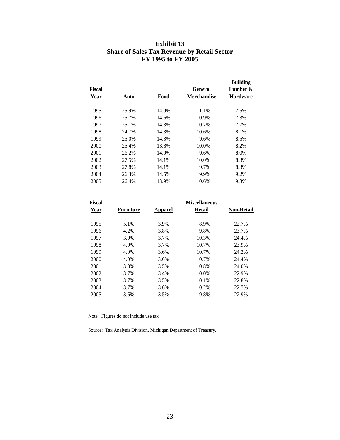#### **Exhibit 13 Share of Sales Tax Revenue by Retail Sector FY 1995 to FY 2005**

| Auto  | Food  | General<br><b>Merchandise</b> | <b>Building</b><br>Lumber &<br>Hardware |
|-------|-------|-------------------------------|-----------------------------------------|
| 25.9% | 14.9% | 11.1%                         | 7.5%                                    |
| 25.7% | 14.6% | 10.9%                         | 7.3%                                    |
| 25.1% | 14.3% | 10.7%                         | 7.7%                                    |
| 24.7% | 14.3% | 10.6%                         | 8.1%                                    |
| 25.0% | 14.3% | 9.6%                          | 8.5%                                    |
| 25.4% | 13.8% | 10.0%                         | 8.2%                                    |
| 26.2% | 14.0% | 9.6%                          | 8.0%                                    |
| 27.5% | 14.1% | 10.0%                         | 8.3%                                    |
| 27.8% | 14.1% | 9.7%                          | 8.3%                                    |
| 26.3% | 14.5% | 9.9%                          | 9.2%                                    |
| 26.4% | 13.9% | 10.6%                         | 9.3%                                    |
|       |       |                               |                                         |

| <b>Fiscal</b> |           | <b>Miscellaneous</b> |        |                   |  |  |
|---------------|-----------|----------------------|--------|-------------------|--|--|
| Year          | Furniture | <b>Apparel</b>       | Retail | <b>Non-Retail</b> |  |  |
| 1995          | 5.1%      | 3.9%                 | 8.9%   | 22.7%             |  |  |
| 1996          | 4.2%      | 3.8%                 | 9.8%   | 23.7%             |  |  |
| 1997          | 3.9%      | 3.7%                 | 10.3%  | 24.4%             |  |  |
| 1998          | 4.0%      | 3.7%                 | 10.7%  | 23.9%             |  |  |
| 1999          | 4.0%      | 3.6%                 | 10.7%  | 24.2%             |  |  |
| 2000          | 4.0%      | 3.6%                 | 10.7%  | 24.4%             |  |  |
| 2001          | 3.8%      | 3.5%                 | 10.8%  | 24.0%             |  |  |
| 2002          | 3.7%      | 3.4%                 | 10.0%  | 22.9%             |  |  |
| 2003          | 3.7%      | 3.5%                 | 10.1%  | 22.8%             |  |  |
| 2004          | 3.7%      | 3.6%                 | 10.2%  | 22.7%             |  |  |
| 2005          | 3.6%      | 3.5%                 | 9.8%   | 22.9%             |  |  |

Note: Figures do not include use tax.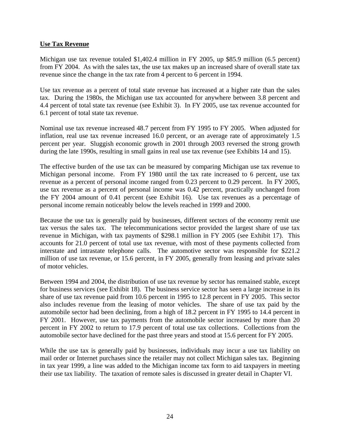#### **Use Tax Revenue**

Michigan use tax revenue totaled \$1,402.4 million in FY 2005, up \$85.9 million (6.5 percent) from FY 2004. As with the sales tax, the use tax makes up an increased share of overall state tax revenue since the change in the tax rate from 4 percent to 6 percent in 1994.

Use tax revenue as a percent of total state revenue has increased at a higher rate than the sales tax. During the 1980s, the Michigan use tax accounted for anywhere between 3.8 percent and 4.4 percent of total state tax revenue (see Exhibit 3). In FY 2005, use tax revenue accounted for 6.1 percent of total state tax revenue.

Nominal use tax revenue increased 48.7 percent from FY 1995 to FY 2005. When adjusted for inflation, real use tax revenue increased 16.0 percent, or an average rate of approximately 1.5 percent per year. Sluggish economic growth in 2001 through 2003 reversed the strong growth during the late 1990s, resulting in small gains in real use tax revenue (see Exhibits 14 and 15).

The effective burden of the use tax can be measured by comparing Michigan use tax revenue to Michigan personal income. From FY 1980 until the tax rate increased to 6 percent, use tax revenue as a percent of personal income ranged from 0.23 percent to 0.29 percent. In FY 2005, use tax revenue as a percent of personal income was 0.42 percent, practically unchanged from the FY 2004 amount of 0.41 percent (see Exhibit 16). Use tax revenues as a percentage of personal income remain noticeably below the levels reached in 1999 and 2000.

Because the use tax is generally paid by businesses, different sectors of the economy remit use tax versus the sales tax. The telecommunications sector provided the largest share of use tax revenue in Michigan, with tax payments of \$298.1 million in FY 2005 (see Exhibit 17). This accounts for 21.0 percent of total use tax revenue, with most of these payments collected from interstate and intrastate telephone calls. The automotive sector was responsible for \$221.2 million of use tax revenue, or 15.6 percent, in FY 2005, generally from leasing and private sales of motor vehicles.

Between 1994 and 2004, the distribution of use tax revenue by sector has remained stable, except for business services (see Exhibit 18). The business service sector has seen a large increase in its share of use tax revenue paid from 10.6 percent in 1995 to 12.8 percent in FY 2005. This sector also includes revenue from the leasing of motor vehicles. The share of use tax paid by the automobile sector had been declining, from a high of 18.2 percent in FY 1995 to 14.4 percent in FY 2001. However, use tax payments from the automobile sector increased by more than 20 percent in FY 2002 to return to 17.9 percent of total use tax collections. Collections from the automobile sector have declined for the past three years and stood at 15.6 percent for FY 2005.

While the use tax is generally paid by businesses, individuals may incur a use tax liability on mail order or Internet purchases since the retailer may not collect Michigan sales tax. Beginning in tax year 1999, a line was added to the Michigan income tax form to aid taxpayers in meeting their use tax liability. The taxation of remote sales is discussed in greater detail in Chapter VI.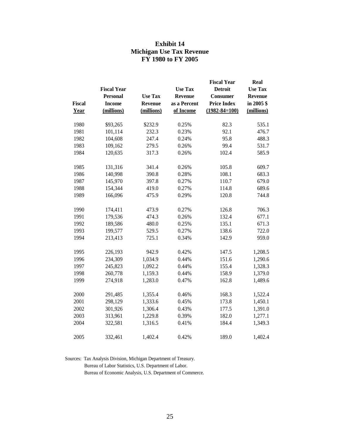#### **Exhibit 14 Michigan Use Tax Revenue FY 1980 to FY 2005**

|               | <b>Fiscal Year</b> |                | <b>Use Tax</b> | <b>Fiscal Year</b><br><b>Detroit</b> | Real<br><b>Use Tax</b> |
|---------------|--------------------|----------------|----------------|--------------------------------------|------------------------|
|               | <b>Personal</b>    | <b>Use Tax</b> | Revenue        | <b>Consumer</b>                      | Revenue                |
| <b>Fiscal</b> | <b>Income</b>      | <b>Revenue</b> | as a Percent   | <b>Price Index</b>                   | in 2005 \$             |
| Year          | (millions)         | (millions)     | of Income      | $(1982 - 84 = 100)$                  | (millions)             |
|               |                    |                |                |                                      |                        |
| 1980          | \$93,265           | \$232.9        | 0.25%          | 82.3                                 | 535.1                  |
| 1981          | 101,114            | 232.3          | 0.23%          | 92.1                                 | 476.7                  |
| 1982          | 104,608            | 247.4          | 0.24%          | 95.8                                 | 488.3                  |
| 1983          | 109,162            | 279.5          | 0.26%          | 99.4                                 | 531.7                  |
| 1984          | 120,635            | 317.3          | 0.26%          | 102.4                                | 585.9                  |
| 1985          | 131,316            | 341.4          | 0.26%          | 105.8                                | 609.7                  |
| 1986          | 140,998            | 390.8          | 0.28%          | 108.1                                | 683.3                  |
| 1987          | 145,970            | 397.8          | 0.27%          | 110.7                                | 679.0                  |
| 1988          | 154,344            | 419.0          | 0.27%          | 114.8                                | 689.6                  |
| 1989          | 166,096            | 475.9          | 0.29%          | 120.8                                | 744.8                  |
| 1990          | 174,411            | 473.9          | 0.27%          | 126.8                                | 706.3                  |
| 1991          | 179,536            | 474.3          | 0.26%          | 132.4                                | 677.1                  |
| 1992          | 189,586            | 480.0          | 0.25%          | 135.1                                | 671.3                  |
| 1993          | 199,577            | 529.5          | 0.27%          | 138.6                                | 722.0                  |
| 1994          | 213,413            | 725.1          | 0.34%          | 142.9                                | 959.0                  |
| 1995          | 226,193            | 942.9          | 0.42%          | 147.5                                | 1,208.5                |
| 1996          | 234,309            | 1,034.9        | 0.44%          | 151.6                                | 1,290.6                |
| 1997          | 245,823            | 1,092.2        | 0.44%          | 155.4                                | 1,328.3                |
| 1998          | 260,778            | 1,159.3        | 0.44%          | 158.9                                | 1,379.0                |
| 1999          | 274,918            | 1,283.0        | 0.47%          | 162.8                                | 1,489.6                |
| 2000          | 291,485            | 1,355.4        | 0.46%          | 168.3                                | 1,522.4                |
| 2001          | 298,129            | 1,333.6        | 0.45%          | 173.8                                | 1,450.1                |
| 2002          | 301,926            | 1,306.4        | 0.43%          | 177.5                                | 1,391.0                |
| 2003          | 313,961            | 1,229.8        | 0.39%          | 182.0                                | 1,277.1                |
| 2004          | 322,581            | 1,316.5        | 0.41%          | 184.4                                | 1,349.3                |
| 2005          | 332,461            | 1,402.4        | 0.42%          | 189.0                                | 1,402.4                |

Sources: Tax Analysis Division, Michigan Department of Treasury.

Bureau of Labor Statistics, U.S. Department of Labor.

Bureau of Economic Analysis, U.S. Department of Commerce.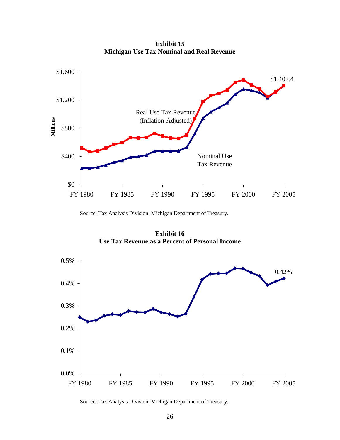**Exhibit 15 Michigan Use Tax Nominal and Real Revenue**



Source: Tax Analysis Division, Michigan Department of Treasury.

**Exhibit 16 Use Tax Revenue as a Percent of Personal Income** 

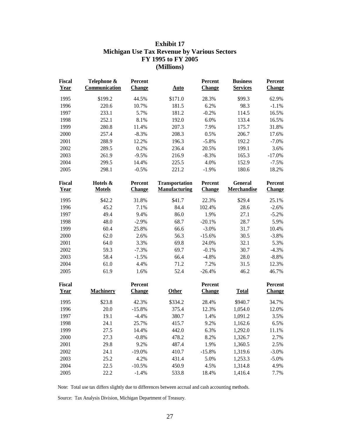#### **Exhibit 17 Michigan Use Tax Revenue by Various Sectors FY 1995 to FY 2005 (Millions)**

| <b>Fiscal</b><br><b>Year</b> | Telephone &<br>Communication | Percent<br><b>Change</b> | <b>Auto</b>                                   | Percent<br><b>Change</b> | <b>Business</b><br><b>Services</b> | Percent<br>Change        |
|------------------------------|------------------------------|--------------------------|-----------------------------------------------|--------------------------|------------------------------------|--------------------------|
| 1995                         | \$199.2                      | 44.5%                    | \$171.0                                       | 28.3%                    | \$99.3                             | 62.9%                    |
| 1996                         | 220.6                        | 10.7%                    | 181.5                                         | 6.2%                     | 98.3                               | $-1.1%$                  |
| 1997                         | 233.1                        | 5.7%                     | 181.2                                         | $-0.2%$                  | 114.5                              | 16.5%                    |
| 1998                         | 252.1                        | 8.1%                     | 192.0                                         | 6.0%                     | 133.4                              | 16.5%                    |
| 1999                         | 280.8                        | 11.4%                    | 207.3                                         | 7.9%                     | 175.7                              | 31.8%                    |
| 2000                         | 257.4                        | $-8.3%$                  | 208.3                                         | 0.5%                     | 206.7                              | 17.6%                    |
| 2001                         | 288.9                        | 12.2%                    | 196.3                                         | $-5.8%$                  | 192.2                              | $-7.0%$                  |
| 2002                         | 289.5                        | 0.2%                     | 236.4                                         | 20.5%                    | 199.1                              | 3.6%                     |
| 2003                         | 261.9                        | $-9.5%$                  | 216.9                                         | $-8.3%$                  | 165.3                              | $-17.0%$                 |
| 2004                         | 299.5                        | 14.4%                    | 225.5                                         | 4.0%                     | 152.9                              | $-7.5%$                  |
| 2005                         | 298.1                        | $-0.5%$                  | 221.2                                         | $-1.9%$                  | 180.6                              | 18.2%                    |
| <b>Fiscal</b><br><b>Year</b> | Hotels &<br><b>Motels</b>    | Percent<br><b>Change</b> | <b>Transportation</b><br><b>Manufacturing</b> | Percent<br><b>Change</b> | General<br><b>Merchandise</b>      | Percent<br><b>Change</b> |
| 1995                         | \$42.2                       | 31.8%                    | \$41.7                                        | 22.3%                    | \$29.4                             | 25.1%                    |
| 1996                         | 45.2                         | 7.1%                     | 84.4                                          | 102.4%                   | 28.6                               | $-2.6%$                  |
| 1997                         | 49.4                         | 9.4%                     | 86.0                                          | 1.9%                     | 27.1                               | $-5.2%$                  |
| 1998                         | 48.0                         | $-2.9%$                  | 68.7                                          | $-20.1%$                 | 28.7                               | 5.9%                     |
| 1999                         | 60.4                         | 25.8%                    | 66.6                                          | $-3.0%$                  | 31.7                               | 10.4%                    |
| 2000                         | 62.0                         | 2.6%                     | 56.3                                          | $-15.6%$                 | 30.5                               | $-3.8%$                  |
| 2001                         | 64.0                         | 3.3%                     | 69.8                                          | 24.0%                    | 32.1                               | 5.3%                     |
| 2002                         | 59.3                         | $-7.3%$                  | 69.7                                          | $-0.1%$                  | 30.7                               | $-4.3%$                  |
| 2003                         | 58.4                         | $-1.5%$                  | 66.4                                          | $-4.8%$                  | 28.0                               | $-8.8%$                  |
| 2004                         | 61.0                         | 4.4%                     | 71.2                                          | 7.2%                     | 31.5                               | 12.3%                    |
| 2005                         | 61.9                         | 1.6%                     | 52.4                                          | $-26.4%$                 | 46.2                               | 46.7%                    |
| Fiscal                       |                              | Percent                  |                                               | Percent                  |                                    | Percent                  |
| <b>Year</b>                  | <b>Machinery</b>             | <b>Change</b>            | <b>Other</b>                                  | <b>Change</b>            | <b>Total</b>                       | <b>Change</b>            |
| 1995                         | \$23.8                       | 42.3%                    | \$334.2                                       | 28.4%                    | \$940.7                            | 34.7%                    |
| 1996                         | 20.0                         | $-15.8%$                 | 375.4                                         | 12.3%                    | 1,054.0                            | 12.0%                    |
| 1997                         | 19.1                         | $-4.4%$                  | 380.7                                         | 1.4%                     | 1,091.2                            | 3.5%                     |
| 1998                         | 24.1                         | 25.7%                    | 415.7                                         | 9.2%                     | 1,162.6                            | 6.5%                     |
| 1999                         | 27.5                         | 14.4%                    | 442.0                                         | 6.3%                     | 1,292.0                            | 11.1%                    |
| 2000                         | 27.3                         | $-0.8%$                  | 478.2                                         | 8.2%                     | 1,326.7                            | 2.7%                     |
| 2001                         | 29.8                         | 9.2%                     | 487.4                                         | 1.9%                     | 1,360.5                            | 2.5%                     |
| 2002                         | 24.1                         | $-19.0%$                 | 410.7                                         | $-15.8%$                 | 1,319.6                            | $-3.0%$                  |
| 2003                         | 25.2                         | 4.2%                     | 431.4                                         | 5.0%                     | 1,253.3                            | $-5.0%$                  |
| 2004                         | 22.5                         | $-10.5%$                 | 450.9                                         | 4.5%                     | 1,314.8                            | 4.9%                     |
| 2005                         | 22.2                         | $-1.4%$                  | 533.8                                         | 18.4%                    | 1,416.4                            | 7.7%                     |

Note: Total use tax differs slightly due to differences between accrual and cash accounting methods.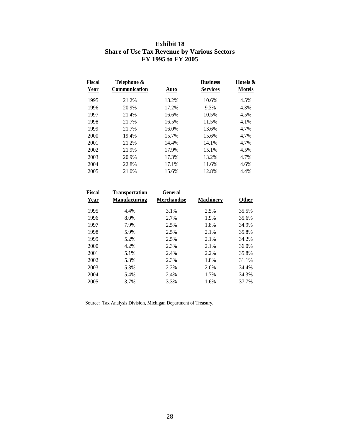| Exhibit 18                                         |
|----------------------------------------------------|
| <b>Share of Use Tax Revenue by Various Sectors</b> |
| FY 1995 to FY 2005                                 |

| <b>Fiscal</b><br><u>Year</u> | Telephone &<br><b>Communication</b> | Auto  | <b>Business</b><br><b>Services</b> | Hotels &<br><b>Motels</b> |
|------------------------------|-------------------------------------|-------|------------------------------------|---------------------------|
| 1995                         | 21.2%                               | 18.2% | 10.6%                              | 4.5%                      |
| 1996                         | 20.9%                               | 17.2% | 9.3%                               | 4.3%                      |
| 1997                         | 21.4%                               | 16.6% | 10.5%                              | 4.5%                      |
| 1998                         | 21.7%                               | 16.5% | 11.5%                              | 4.1%                      |
| 1999                         | 21.7%                               | 16.0% | 13.6%                              | 4.7%                      |
| 2000                         | 19.4%                               | 15.7% | 15.6%                              | 4.7%                      |
| 2001                         | 21.2%                               | 14.4% | 14.1%                              | 4.7%                      |
| 2002                         | 21.9%                               | 17.9% | 15.1%                              | 4.5%                      |
| 2003                         | 20.9%                               | 17.3% | 13.2%                              | 4.7%                      |
| 2004                         | 22.8%                               | 17.1% | 11.6%                              | 4.6%                      |
| 2005                         | 21.0%                               | 15.6% | 12.8%                              | 4.4%                      |
|                              |                                     |       |                                    |                           |

| Fiscal<br>Year | <b>Transportation</b><br><b>Manufacturing</b> | General<br><b>Merchandise</b> | <b>Machinery</b> | <b>Other</b> |
|----------------|-----------------------------------------------|-------------------------------|------------------|--------------|
| 1995           | 4.4%                                          | 3.1%                          | 2.5%             | 35.5%        |
| 1996           | 8.0%                                          | 2.7%                          | 1.9%             | 35.6%        |
| 1997           | 7.9%                                          | 2.5%                          | 1.8%             | 34.9%        |
| 1998           | 5.9%                                          | 2.5%                          | 2.1%             | 35.8%        |
| 1999           | 5.2%                                          | 2.5%                          | 2.1%             | 34.2%        |
| 2000           | 4.2%                                          | 2.3%                          | 2.1%             | 36.0%        |
| 2001           | 5.1%                                          | 2.4%                          | 2.2%             | 35.8%        |
| 2002           | 5.3%                                          | 2.3%                          | 1.8%             | 31.1%        |
| 2003           | 5.3%                                          | 2.2%                          | 2.0%             | 34.4%        |
| 2004           | 5.4%                                          | 2.4%                          | 1.7%             | 34.3%        |
| 2005           | 3.7%                                          | 3.3%                          | 1.6%             | 37.7%        |
|                |                                               |                               |                  |              |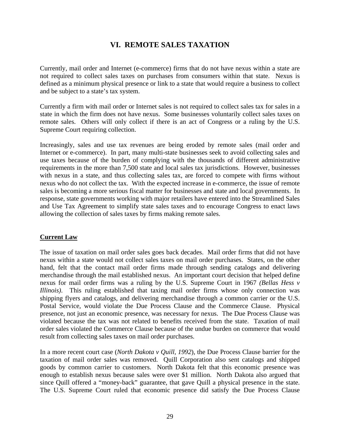## **VI. REMOTE SALES TAXATION**

Currently, mail order and Internet (e-commerce) firms that do not have nexus within a state are not required to collect sales taxes on purchases from consumers within that state. Nexus is defined as a minimum physical presence or link to a state that would require a business to collect and be subject to a state's tax system.

Currently a firm with mail order or Internet sales is not required to collect sales tax for sales in a state in which the firm does not have nexus. Some businesses voluntarily collect sales taxes on remote sales. Others will only collect if there is an act of Congress or a ruling by the U.S. Supreme Court requiring collection.

Increasingly, sales and use tax revenues are being eroded by remote sales (mail order and Internet or e-commerce). In part, many multi-state businesses seek to avoid collecting sales and use taxes because of the burden of complying with the thousands of different administrative requirements in the more than 7,500 state and local sales tax jurisdictions. However, businesses with nexus in a state, and thus collecting sales tax, are forced to compete with firms without nexus who do not collect the tax. With the expected increase in e-commerce, the issue of remote sales is becoming a more serious fiscal matter for businesses and state and local governments. In response, state governments working with major retailers have entered into the Streamlined Sales and Use Tax Agreement to simplify state sales taxes and to encourage Congress to enact laws allowing the collection of sales taxes by firms making remote sales.

#### **Current Law**

The issue of taxation on mail order sales goes back decades. Mail order firms that did not have nexus within a state would not collect sales taxes on mail order purchases. States, on the other hand, felt that the contact mail order firms made through sending catalogs and delivering merchandise through the mail established nexus. An important court decision that helped define nexus for mail order firms was a ruling by the U.S. Supreme Court in 1967 *(Bellas Hess v Illinois)*. This ruling established that taxing mail order firms whose only connection was shipping flyers and catalogs, and delivering merchandise through a common carrier or the U.S. Postal Service, would violate the Due Process Clause and the Commerce Clause. Physical presence, not just an economic presence, was necessary for nexus. The Due Process Clause was violated because the tax was not related to benefits received from the state. Taxation of mail order sales violated the Commerce Clause because of the undue burden on commerce that would result from collecting sales taxes on mail order purchases.

In a more recent court case (*North Dakota v Quill, 1992*), the Due Process Clause barrier for the taxation of mail order sales was removed. Quill Corporation also sent catalogs and shipped goods by common carrier to customers. North Dakota felt that this economic presence was enough to establish nexus because sales were over \$1 million. North Dakota also argued that since Quill offered a "money-back" guarantee, that gave Quill a physical presence in the state. The U.S. Supreme Court ruled that economic presence did satisfy the Due Process Clause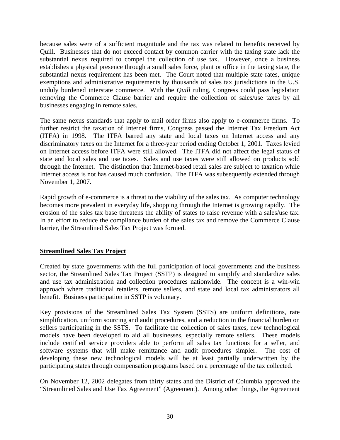because sales were of a sufficient magnitude and the tax was related to benefits received by Quill. Businesses that do not exceed contact by common carrier with the taxing state lack the substantial nexus required to compel the collection of use tax. However, once a business establishes a physical presence through a small sales force, plant or office in the taxing state, the substantial nexus requirement has been met. The Court noted that multiple state rates, unique exemptions and administrative requirements by thousands of sales tax jurisdictions in the U.S. unduly burdened interstate commerce. With the *Quill* ruling, Congress could pass legislation removing the Commerce Clause barrier and require the collection of sales/use taxes by all businesses engaging in remote sales.

The same nexus standards that apply to mail order firms also apply to e-commerce firms. To further restrict the taxation of Internet firms, Congress passed the Internet Tax Freedom Act (ITFA) in 1998. The ITFA barred any state and local taxes on Internet access and any discriminatory taxes on the Internet for a three-year period ending October 1, 2001. Taxes levied on Internet access before ITFA were still allowed. The ITFA did not affect the legal status of state and local sales and use taxes. Sales and use taxes were still allowed on products sold through the Internet. The distinction that Internet-based retail sales are subject to taxation while Internet access is not has caused much confusion. The ITFA was subsequently extended through November 1, 2007.

Rapid growth of e-commerce is a threat to the viability of the sales tax. As computer technology becomes more prevalent in everyday life, shopping through the Internet is growing rapidly. The erosion of the sales tax base threatens the ability of states to raise revenue with a sales/use tax. In an effort to reduce the compliance burden of the sales tax and remove the Commerce Clause barrier, the Streamlined Sales Tax Project was formed.

#### **Streamlined Sales Tax Project**

Created by state governments with the full participation of local governments and the business sector, the Streamlined Sales Tax Project (SSTP) is designed to simplify and standardize sales and use tax administration and collection procedures nationwide. The concept is a win-win approach where traditional retailers, remote sellers, and state and local tax administrators all benefit. Business participation in SSTP is voluntary.

Key provisions of the Streamlined Sales Tax System (SSTS) are uniform definitions, rate simplification, uniform sourcing and audit procedures, and a reduction in the financial burden on sellers participating in the SSTS. To facilitate the collection of sales taxes, new technological models have been developed to aid all businesses, especially remote sellers. These models include certified service providers able to perform all sales tax functions for a seller, and software systems that will make remittance and audit procedures simpler. The cost of developing these new technological models will be at least partially underwritten by the participating states through compensation programs based on a percentage of the tax collected.

On November 12, 2002 delegates from thirty states and the District of Columbia approved the "Streamlined Sales and Use Tax Agreement" (Agreement). Among other things, the Agreement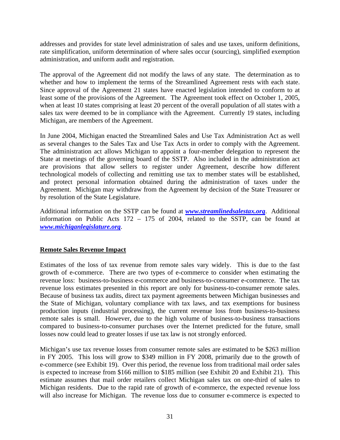addresses and provides for state level administration of sales and use taxes, uniform definitions, rate simplification, uniform determination of where sales occur (sourcing), simplified exemption administration, and uniform audit and registration.

The approval of the Agreement did not modify the laws of any state. The determination as to whether and how to implement the terms of the Streamlined Agreement rests with each state. Since approval of the Agreement 21 states have enacted legislation intended to conform to at least some of the provisions of the Agreement. The Agreement took effect on October 1, 2005, when at least 10 states comprising at least 20 percent of the overall population of all states with a sales tax were deemed to be in compliance with the Agreement. Currently 19 states, including Michigan, are members of the Agreement.

In June 2004, Michigan enacted the Streamlined Sales and Use Tax Administration Act as well as several changes to the Sales Tax and Use Tax Acts in order to comply with the Agreement. The administration act allows Michigan to appoint a four-member delegation to represent the State at meetings of the governing board of the SSTP. Also included in the administration act are provisions that allow sellers to register under Agreement, describe how different technological models of collecting and remitting use tax to member states will be established, and protect personal information obtained during the administration of taxes under the Agreement. Michigan may withdraw from the Agreement by decision of the State Treasurer or by resolution of the State Legislature.

Additional information on the SSTP can be found at *www.streamlinedsalestax.org*. Additional information on Public Acts 172 – 175 of 2004, related to the SSTP, can be found at *www.michiganlegislature.org*.

#### **Remote Sales Revenue Impact**

Estimates of the loss of tax revenue from remote sales vary widely. This is due to the fast growth of e-commerce. There are two types of e-commerce to consider when estimating the revenue loss: business-to-business e-commerce and business-to-consumer e-commerce. The tax revenue loss estimates presented in this report are only for business-to-consumer remote sales. Because of business tax audits, direct tax payment agreements between Michigan businesses and the State of Michigan, voluntary compliance with tax laws, and tax exemptions for business production inputs (industrial processing), the current revenue loss from business-to-business remote sales is small. However, due to the high volume of business-to-business transactions compared to business-to-consumer purchases over the Internet predicted for the future, small losses now could lead to greater losses if use tax law is not strongly enforced.

Michigan's use tax revenue losses from consumer remote sales are estimated to be \$263 million in FY 2005. This loss will grow to \$349 million in FY 2008, primarily due to the growth of e-commerce (see Exhibit 19). Over this period, the revenue loss from traditional mail order sales is expected to increase from \$166 million to \$185 million (see Exhibit 20 and Exhibit 21). This estimate assumes that mail order retailers collect Michigan sales tax on one-third of sales to Michigan residents. Due to the rapid rate of growth of e-commerce, the expected revenue loss will also increase for Michigan. The revenue loss due to consumer e-commerce is expected to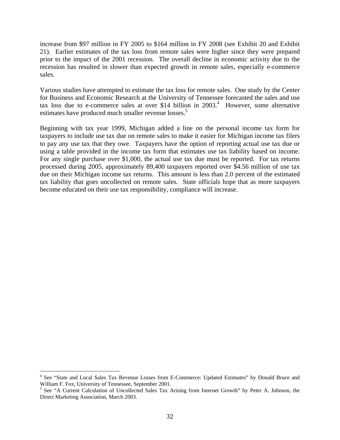increase from \$97 million in FY 2005 to \$164 million in FY 2008 (see Exhibit 20 and Exhibit 21). Earlier estimates of the tax loss from remote sales were higher since they were prepared prior to the impact of the 2001 recession. The overall decline in economic activity due to the recession has resulted in slower than expected growth in remote sales, especially e-commerce sales.

Various studies have attempted to estimate the tax loss for remote sales. One study by the Center for Business and Economic Research at the University of Tennessee forecasted the sales and use tax loss due to e-commerce sales at over \$14 billion in  $2003<sup>4</sup>$ . However, some alternative estimates have produced much smaller revenue losses.<sup>5</sup>

Beginning with tax year 1999, Michigan added a line on the personal income tax form for taxpayers to include use tax due on remote sales to make it easier for Michigan income tax filers to pay any use tax that they owe. Taxpayers have the option of reporting actual use tax due or using a table provided in the income tax form that estimates use tax liability based on income. For any single purchase over \$1,000, the actual use tax due must be reported. For tax returns processed during 2005, approximately 89,400 taxpayers reported over \$4.56 million of use tax due on their Michigan income tax returns. This amount is less than 2.0 percent of the estimated tax liability that goes uncollected on remote sales. State officials hope that as more taxpayers become educated on their use tax responsibility, compliance will increase.

 4 See "State and Local Sales Tax Revenue Losses from E-Commerce: Updated Estimates" by Donald Bruce and William F. Fox, University of Tennessee, September 2001.

<sup>&</sup>lt;sup>5</sup> See "A Current Calculation of Uncollected Sales Tax Arising from Internet Growth" by Peter A. Johnson, the Direct Marketing Association, March 2003.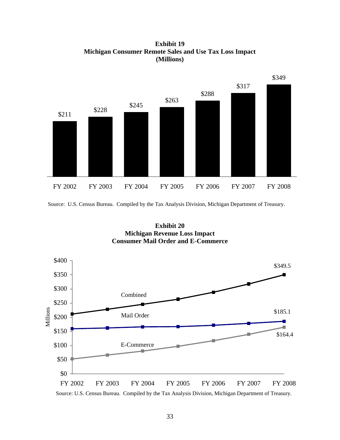**Exhibit 19 Michigan Consumer Remote Sales and Use Tax Loss Impact (Millions)**



Source: U.S. Census Bureau. Compiled by the Tax Analysis Division, Michigan Department of Treasury.





Source: U.S. Census Bureau. Compiled by the Tax Analysis Division, Michigan Department of Treasury.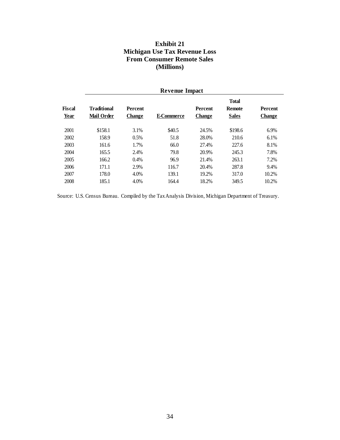#### **Exhibit 21 Michigan Use Tax Revenue Loss From Consumer Remote Sales (Millions)**

|                       | <b>Revenue Impact</b>                   |                                 |                   |                                 |                                               |                          |  |  |
|-----------------------|-----------------------------------------|---------------------------------|-------------------|---------------------------------|-----------------------------------------------|--------------------------|--|--|
| Fiscal<br><b>Year</b> | <b>Traditional</b><br><b>Mail Order</b> | <b>Percent</b><br><b>Change</b> | <b>E-Commerce</b> | <b>Percent</b><br><b>Change</b> | <b>Total</b><br><b>Remote</b><br><b>Sales</b> | Percent<br><b>Change</b> |  |  |
| 2001                  | \$158.1                                 | 3.1%                            | \$40.5            | 24.5%                           | \$198.6                                       | 6.9%                     |  |  |
| 2002                  | 158.9                                   | 0.5%                            | 51.8              | 28.0%                           | 210.6                                         | 6.1%                     |  |  |
| 2003                  | 161.6                                   | 1.7%                            | 66.0              | 27.4%                           | 227.6                                         | 8.1%                     |  |  |
| 2004                  | 165.5                                   | 2.4%                            | 79.8              | 20.9%                           | 245.3                                         | 7.8%                     |  |  |
| 2005                  | 166.2                                   | 0.4%                            | 96.9              | 21.4%                           | 263.1                                         | 7.2%                     |  |  |
| 2006                  | 171.1                                   | 2.9%                            | 116.7             | 20.4%                           | 287.8                                         | 9.4%                     |  |  |
| 2007                  | 178.0                                   | 4.0%                            | 139.1             | 19.2%                           | 317.0                                         | 10.2%                    |  |  |
| 2008                  | 185.1                                   | 4.0%                            | 164.4             | 18.2%                           | 349.5                                         | 10.2%                    |  |  |

Source: U.S. Census Bureau. Compiled by the Tax Analysis Division, Michigan Department of Treasury.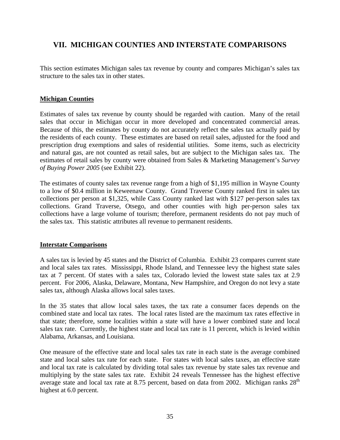## **VII. MICHIGAN COUNTIES AND INTERSTATE COMPARISONS**

This section estimates Michigan sales tax revenue by county and compares Michigan's sales tax structure to the sales tax in other states.

#### **Michigan Counties**

Estimates of sales tax revenue by county should be regarded with caution. Many of the retail sales that occur in Michigan occur in more developed and concentrated commercial areas. Because of this, the estimates by county do not accurately reflect the sales tax actually paid by the residents of each county. These estimates are based on retail sales, adjusted for the food and prescription drug exemptions and sales of residential utilities. Some items, such as electricity and natural gas, are not counted as retail sales, but are subject to the Michigan sales tax. The estimates of retail sales by county were obtained from Sales & Marketing Management's *Survey of Buying Power 2005* (see Exhibit 22).

The estimates of county sales tax revenue range from a high of \$1,195 million in Wayne County to a low of \$0.4 million in Keweenaw County. Grand Traverse County ranked first in sales tax collections per person at \$1,325, while Cass County ranked last with \$127 per-person sales tax collections. Grand Traverse, Otsego, and other counties with high per-person sales tax collections have a large volume of tourism; therefore, permanent residents do not pay much of the sales tax. This statistic attributes all revenue to permanent residents.

#### **Interstate Comparisons**

A sales tax is levied by 45 states and the District of Columbia. Exhibit 23 compares current state and local sales tax rates. Mississippi, Rhode Island, and Tennessee levy the highest state sales tax at 7 percent. Of states with a sales tax, Colorado levied the lowest state sales tax at 2.9 percent. For 2006, Alaska, Delaware, Montana, New Hampshire, and Oregon do not levy a state sales tax, although Alaska allows local sales taxes.

In the 35 states that allow local sales taxes, the tax rate a consumer faces depends on the combined state and local tax rates. The local rates listed are the maximum tax rates effective in that state; therefore, some localities within a state will have a lower combined state and local sales tax rate. Currently, the highest state and local tax rate is 11 percent, which is levied within Alabama, Arkansas, and Louisiana.

One measure of the effective state and local sales tax rate in each state is the average combined state and local sales tax rate for each state. For states with local sales taxes, an effective state and local tax rate is calculated by dividing total sales tax revenue by state sales tax revenue and multiplying by the state sales tax rate. Exhibit 24 reveals Tennessee has the highest effective average state and local tax rate at 8.75 percent, based on data from 2002. Michigan ranks  $28<sup>th</sup>$ highest at 6.0 percent.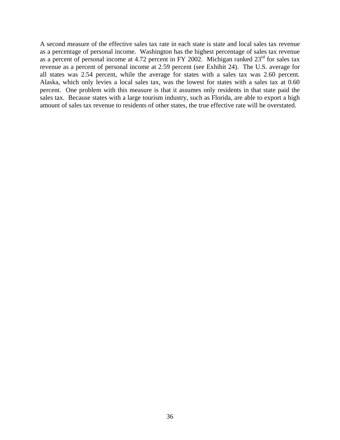A second measure of the effective sales tax rate in each state is state and local sales tax revenue as a percentage of personal income. Washington has the highest percentage of sales tax revenue as a percent of personal income at 4.72 percent in FY 2002. Michigan ranked  $23<sup>rd</sup>$  for sales tax revenue as a percent of personal income at 2.59 percent (see Exhibit 24). The U.S. average for all states was 2.54 percent, while the average for states with a sales tax was 2.60 percent. Alaska, which only levies a local sales tax, was the lowest for states with a sales tax at 0.60 percent. One problem with this measure is that it assumes only residents in that state paid the sales tax. Because states with a large tourism industry, such as Florida, are able to export a high amount of sales tax revenue to residents of other states, the true effective rate will be overstated.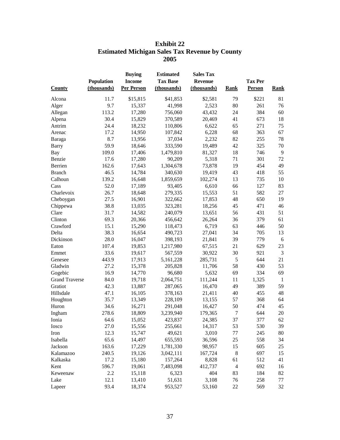|                       | <b>ESUMATE MICHIGAN SAIES TAX REVENUE DY COUNTY</b><br>2005 |                                                     |                                                    |                                                   |                |                          |              |  |  |
|-----------------------|-------------------------------------------------------------|-----------------------------------------------------|----------------------------------------------------|---------------------------------------------------|----------------|--------------------------|--------------|--|--|
| <b>County</b>         | Population<br>(thousands)                                   | <b>Buying</b><br><b>Income</b><br><b>Per Person</b> | <b>Estimated</b><br><b>Tax Base</b><br>(thousands) | <b>Sales Tax</b><br><b>Revenue</b><br>(thousands) | <b>Rank</b>    | <b>Tax Per</b><br>Person | <b>Rank</b>  |  |  |
| Alcona                | 11.7                                                        | \$15,815                                            | \$41,853                                           | \$2,581                                           | 79             | \$221                    | 81           |  |  |
| Alger                 | 9.7                                                         | 15,337                                              | 41,998                                             | 2,523                                             | 80             | 261                      | 76           |  |  |
| Allegan               | 113.2                                                       | 17,280                                              | 756,060                                            | 43,432                                            | 24             | 384                      | 60           |  |  |
| Alpena                | 30.4                                                        | 15,829                                              | 370,589                                            | 20,469                                            | 41             | 673                      | 18           |  |  |
| Antrim                | 24.4                                                        | 18,232                                              | 110,806                                            | 6,622                                             | 65             | 271                      | 75           |  |  |
| Arenac                | 17.2                                                        | 14,950                                              | 107,842                                            | 6,228                                             | 68             | 363                      | 67           |  |  |
| Baraga                | 8.7                                                         | 13,956                                              | 37,034                                             | 2,232                                             | 82             | 255                      | 78           |  |  |
| <b>Barry</b>          | 59.9                                                        | 18,646                                              | 333,590                                            | 19,489                                            | 42             | 325                      | 70           |  |  |
| Bay                   | 109.0                                                       | 17,406                                              | 1,479,810                                          | 81,327                                            | 18             | 746                      | $\mathbf{9}$ |  |  |
| Benzie                | 17.6                                                        | 17,280                                              | 90,209                                             | 5,318                                             | 71             | 301                      | 72           |  |  |
| Berrien               | 162.6                                                       | 17,643                                              | 1,304,678                                          | 73,878                                            | 19             | 454                      | 49           |  |  |
| <b>Branch</b>         | 46.5                                                        | 14,784                                              | 340,630                                            | 19,419                                            | 43             | 418                      | 55           |  |  |
| Calhoun               | 139.2                                                       | 16,648                                              | 1,859,659                                          | 102,274                                           | 13             | 735                      | $10\,$       |  |  |
| Cass                  | 52.0                                                        | 17,189                                              | 93,405                                             | 6,610                                             | 66             | 127                      | 83           |  |  |
| Charlevoix            | 26.7                                                        | 18,648                                              | 279,335                                            | 15,553                                            | 51             | 582                      | 27           |  |  |
| Cheboygan             | 27.5                                                        | 16,901                                              | 322,662                                            | 17,853                                            | 48             | 650                      | 19           |  |  |
| Chippewa              | 38.8                                                        | 13,035                                              | 323,281                                            | 18,256                                            | 45             | 471                      | 46           |  |  |
| Clare                 | 31.7                                                        | 14,582                                              | 240,079                                            | 13,651                                            | 56             | 431                      | 51           |  |  |
| Clinton               | 69.3                                                        | 20,366                                              | 456,642                                            | 26,264                                            | 36             | 379                      | 61           |  |  |
| Crawford              | 15.1                                                        | 15,290                                              | 118,473                                            | 6,719                                             | 63             | 446                      | 50           |  |  |
| Delta                 | 38.3                                                        | 16,654                                              | 490,723                                            | 27,041                                            | 34             | 705                      | 13           |  |  |
| Dickinson             | 28.0                                                        | 16,047                                              | 398,193                                            | 21,841                                            | 39             | 779                      | 6            |  |  |
| Eaton                 | 107.4                                                       | 19,853                                              | 1,217,980                                          | 67,515                                            | 21             | 629                      | 23           |  |  |
| Emmet                 | 33.6                                                        | 19,617                                              | 567,559                                            | 30,922                                            | 30             | 921                      | 3            |  |  |
| Genesee               | 443.9                                                       | 17,913                                              | 5,161,228                                          | 285,731                                           | 5              | 644                      | 21           |  |  |
| Gladwin               | 27.2                                                        | 15,378                                              | 205,828                                            | 11,706                                            | 58             | 430                      | 53           |  |  |
| Gogebic               | 16.9                                                        | 14,770                                              | 96,680                                             | 5,632                                             | 69             | 334                      | 69           |  |  |
| <b>Grand Traverse</b> | 84.0                                                        | 19,718                                              | 2,064,751                                          | 111,244                                           | 11             | 1,325                    | $\mathbf{1}$ |  |  |
| Gratiot               | 42.3                                                        | 13,887                                              | 287,065                                            | 16,470                                            | 49             | 389                      | 59           |  |  |
| Hillsdale             | 47.1                                                        | 16,105                                              | 378,163                                            | 21,411                                            | 40             | 455                      | 48           |  |  |
| Houghton              | 35.7                                                        | 13,349                                              | 228,109                                            | 13,155                                            | 57             | 368                      | 64           |  |  |
| Huron                 | 34.6                                                        | 16,271                                              | 291,048                                            | 16,427                                            | 50             | 474                      | 45           |  |  |
| Ingham                | 278.6                                                       | 18,809                                              | 3,239,940                                          | 179,365                                           | $\tau$         | 644                      | 20           |  |  |
| Ionia                 | 64.6                                                        | 15,052                                              | 423,837                                            | 24,385                                            | 37             | 377                      | 62           |  |  |
| Iosco                 | 27.0                                                        | 15,556                                              | 255,661                                            | 14,317                                            | 53             | 530                      | 39           |  |  |
| Iron                  | 12.3                                                        | 15,747                                              | 49,621                                             | 3,010                                             | 77             | 245                      | 80           |  |  |
| Isabella              | 65.6                                                        | 14,497                                              | 655,593                                            | 36,596                                            | $25\,$         | 558                      | 34           |  |  |
| Jackson               | 163.6                                                       | 17,229                                              | 1,781,330                                          | 98,957                                            | 15             | 605                      | 25           |  |  |
|                       |                                                             |                                                     |                                                    | 167,724                                           | $\,8\,$        |                          |              |  |  |
| Kalamazoo             | 240.5                                                       | 19,126<br>15,180                                    | 3,042,111<br>157,264                               | 8,828                                             | 61             | 697<br>512               | 15<br>41     |  |  |
| Kalkaska<br>Kent      | 17.2<br>596.7                                               | 19,061                                              | 7,483,098                                          |                                                   | $\overline{4}$ |                          |              |  |  |
| Keweenaw              | 2.2                                                         | 15,118                                              | 6,323                                              | 412,737<br>404                                    |                | 692<br>184               | 16<br>82     |  |  |
| Lake                  | 12.1                                                        | 13,410                                              | 51,631                                             | 3,108                                             | 83<br>76       | 258                      | 77           |  |  |
|                       |                                                             |                                                     |                                                    |                                                   |                |                          |              |  |  |

## **Exhibit 22 Estimated Michigan Sales Tax Revenue by County**

Lake 12.1 13,410 51,631 3,108 76 258 77 Lapeer 93.4 18,374 953,527 53,160 22 569 32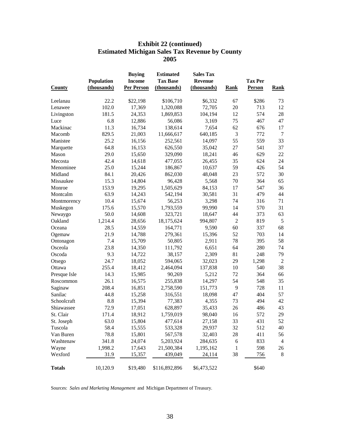#### **Exhibit 22 (continued) Estimated Michigan Sales Tax Revenue by County 2005**

|               |             | <b>Buying</b>     | <b>Estimated</b> | <b>Sales Tax</b> |                |                |                |
|---------------|-------------|-------------------|------------------|------------------|----------------|----------------|----------------|
|               | Population  | <b>Income</b>     | <b>Tax Base</b>  | <b>Revenue</b>   |                | <b>Tax Per</b> |                |
| <b>County</b> | (thousands) | <b>Per Person</b> | (thousands)      | (thousands)      | <b>Rank</b>    | Person         | <b>Rank</b>    |
| Leelanau      | 22.2        | \$22,198          | \$106,710        | \$6,332          | 67             | \$286          | 73             |
| Lenawee       | 102.0       | 17,369            | 1,320,088        | 72,705           | 20             | 713            | 12             |
| Livingston    | 181.5       | 24,353            | 1,869,853        | 104,194          | 12             | 574            | 28             |
| Luce          | 6.8         | 12,886            | 56,086           | 3,169            | 75             | 467            | 47             |
| Mackinac      | 11.3        | 16,734            | 138,614          | 7,654            | 62             | 676            | 17             |
| Macomb        | 829.5       | 21,003            | 11,666,617       | 640,185          | 3              | 772            | $\overline{7}$ |
| Manistee      | 25.2        | 16,156            | 252,561          | 14,097           | 55             | 559            | 33             |
| Marquette     | 64.8        | 16,153            | 626,550          | 35,042           | 27             | 541            | 37             |
| Mason         | 29.0        | 15,650            | 329,090          | 18,241           | 46             | 629            | 22             |
| Mecosta       | 42.4        | 14,618            | 477,055          | 26,455           | 35             | 624            | 24             |
| Menominee     | 25.0        | 15,244            | 186,867          | 10,637           | 59             | 426            | 54             |
| Midland       | 84.1        | 20,426            | 862,030          | 48,048           | 23             | 572            | 30             |
| Missaukee     | 15.3        | 14,804            | 96,428           | 5,568            | 70             | 364            | 65             |
| Monroe        | 153.9       | 19,295            | 1,505,629        | 84,153           | 17             | 547            | 36             |
| Montcalm      | 63.9        | 14,243            | 542,194          | 30,581           | 31             | 479            | 44             |
| Montmorency   | 10.4        | 15,674            | 56,253           | 3,298            | 74             | 316            | 71             |
| Muskegon      | 175.6       | 15,570            | 1,793,559        | 99,990           | 14             | 570            | 31             |
| Newaygo       | 50.0        | 14,608            | 323,721          | 18,647           | 44             | 373            | 63             |
| Oakland       | 1,214.4     | 28,656            | 18,175,624       | 994,807          | $\overline{c}$ | 819            | 5              |
| Oceana        | 28.5        | 14,559            | 164,771          | 9,590            | 60             | 337            | 68             |
| Ogemaw        | 21.9        | 14,788            | 279,361          | 15,396           | 52             | 703            | 14             |
| Ontonagon     | 7.4         | 15,709            | 50,805           | 2,911            | 78             | 395            | 58             |
| Osceola       | 23.8        | 14,350            | 111,792          | 6,651            | 64             | 280            | 74             |
| Oscoda        | 9.3         | 14,722            | 38,157           | 2,309            | 81             | 248            | 79             |
| Otsego        | 24.7        | 18,052            | 594,065          | 32,023           | 29             | 1,298          | $\overline{2}$ |
| Ottawa        | 255.4       | 18,412            | 2,464,094        | 137,838          | 10             | 540            | 38             |
| Presque Isle  | 14.3        | 15,985            | 90,269           | 5,212            | 72             | 364            | 66             |
| Roscommon     | 26.1        | 16,575            | 255,838          | 14,297           | 54             | 548            | 35             |
| Saginaw       | 208.4       | 16,851            | 2,758,590        | 151,773          | 9              | 728            | 11             |
| Sanilac       | 44.8        | 15,258            | 316,551          | 18,098           | 47             | 404            | 57             |
| Schoolcraft   | 8.8         | 15,394            | 77,383           | 4,355            | 73             | 494            | 42             |
| Shiawassee    | 72.9        | 17,051            | 628,897          | 35,433           | 26             | 486            | 43             |
| St. Clair     | 171.4       | 18,912            | 1,759,019        | 98,040           | 16             | 572            | 29             |
| St. Joseph    | 63.0        | 15,804            | 477,614          | 27,158           | 33             | 431            | 52             |
| Tuscola       | 58.4        | 15,555            | 533,328          | 29,937           | 32             | 512            | 40             |
| Van Buren     | 78.8        | 15,801            | 567,578          | 32,403           | 28             | 411            | 56             |
| Washtenaw     | 341.8       | 24,074            | 5,203,924        | 284,635          | 6              | 833            | $\overline{4}$ |
| Wayne         | 1,998.2     | 17,643            | 21,500,384       | 1,195,162        | 1              | 598            | 26             |
| Wexford       | 31.9        | 15,357            | 439,049          | 24,114           | 38             | 756            | $\,8\,$        |
| <b>Totals</b> | 10,120.9    | \$19,480          | \$116,892,896    | \$6,473,522      |                | \$640          |                |

Sources: *Sales and Marketing Management* and Michigan Department of Treasury.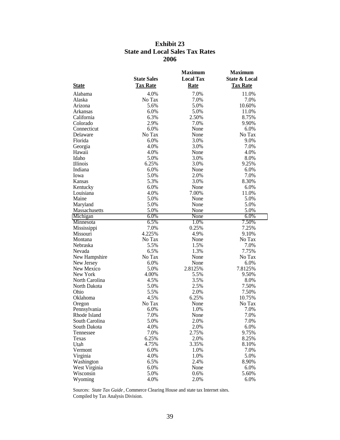#### **Exhibit 23 State and Local Sales Tax Rates 2006**

|                |                    | <b>Maximum</b>   | <b>Maximum</b>           |
|----------------|--------------------|------------------|--------------------------|
|                | <b>State Sales</b> | <b>Local Tax</b> | <b>State &amp; Local</b> |
| <b>State</b>   | <b>Tax Rate</b>    | <b>Rate</b>      | <b>Tax Rate</b>          |
| Alabama        | 4.0%               | 7.0%             | 11.0%                    |
| Alaska         | No Tax             | 7.0%             | 7.0%                     |
| Arizona        | 5.6%               | 5.0%             | 10.60%                   |
| Arkansas       | 6.0%               | 5.0%             | 11.0%                    |
| California     | 6.3%               | 2.50%            | 8.75%                    |
| Colorado       | 2.9%               | 7.0%             | 9.90%                    |
| Connecticut    | 6.0%               | None             | 6.0%                     |
| Delaware       | No Tax             | None             | No Tax                   |
| Florida        | 6.0%               | 3.0%             | 9.0%                     |
| Georgia        | 4.0%               | 3.0%             | 7.0%                     |
| Hawaii         | 4.0%               | None             | 4.0%                     |
| Idaho          | 5.0%               | 3.0%             | 8.0%                     |
| Illinois       | 6.25%              | 3.0%             | 9.25%                    |
| Indiana        | 6.0%               | None             | 6.0%                     |
| Iowa           | 5.0%               | 2.0%             | 7.0%                     |
| Kansas         | 5.3%               | 3.0%             | 8.30%                    |
| Kentucky       | 6.0%               | None             | 6.0%                     |
| Louisiana      | 4.0%               | 7.00%            | 11.0%                    |
| Maine          | 5.0%               | None             | 5.0%                     |
| Maryland       | 5.0%               | None             | 5.0%                     |
| Massachusetts  | 5.0%               | None             | 5.0%                     |
| Michigan       | 6.0%               | None             | 6.0%                     |
| Minnesota      | 6.5%               | 1.0%             | 7.50%                    |
| Mississippi    | 7.0%               | 0.25%            | 7.25%                    |
| Missouri       | 4.225%             | 4.9%             | 9.10%                    |
| Montana        | No Tax             | None             | No Tax                   |
| Nebraska       | 5.5%               | 1.5%             | 7.0%                     |
| Nevada         | 6.5%               | 1.3%             | 7.75%                    |
| New Hampshire  | No Tax             | None             | No Tax                   |
| New Jersey     | 6.0%               | None             | 6.0%                     |
| New Mexico     | 5.0%               | 2.8125%          | 7.8125%                  |
| New York       | 4.00%              | 5.5%             | 9.50%                    |
| North Carolina | 4.5%               | 3.5%             | 8.0%                     |
| North Dakota   | 5.0%               | 2.5%             | 7.50%                    |
| Ohio           | 5.5%               | 2.0%             | 7.50%                    |
| Oklahoma       | 4.5%               | 6.25%            | 10.75%                   |
| Oregon         | No Tax             | None             | No Tax                   |
| Pennsylvania   | 6.0%               | 1.0%             | 7.0%                     |
| Rhode Island   | 7.0%               | None             | 7.0%                     |
| South Carolina | 5.0%               | 2.0%             | 7.0%                     |
| South Dakota   | 4.0%               | 2.0%             | 6.0%                     |
| Tennessee      | 7.0%               | 2.75%            | 9.75%                    |
| Texas          | 6.25%              | 2.0%             | 8.25%                    |
| Utah           | 4.75%              | 3.35%            | 8.10%                    |
| Vermont        | 6.0%               | 1.0%             | 7.0%                     |
| Virginia       | 4.0%               | 1.0%             | 5.0%                     |
| Washington     | 6.5%               | 2.4%             | 8.90%                    |
| West Virginia  | 6.0%               | None             | 6.0%                     |
| Wisconsin      | 5.0%               | 0.6%             | 5.60%                    |
| Wyoming        | 4.0%               | 2.0%             | 6.0%                     |

Sources: *State Tax Guide* , Commerce Clearing House and state tax Internet sites. Compiled by Tax Analysis Division.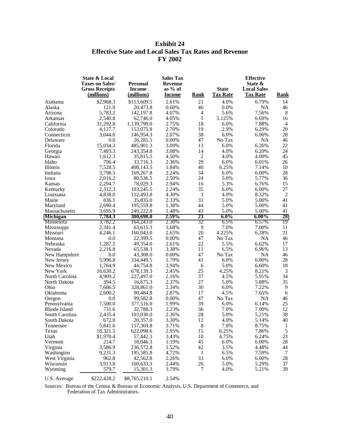#### **Exhibit 24 Effective State and Local Sales Tax Rates and Revenue FY 2002**

|                 | State & Local<br><b>Taxes on Sales/</b><br><b>Gross Receipts</b><br>(millions) | <b>Personal</b><br><b>Income</b><br>(millions) | <b>Sales Tax</b><br><b>Revenue</b><br>as $%$ of<br><b>Income</b> | <u>Rank</u>    | <b>State</b><br><b>Tax Rate</b> | <b>Effective</b><br>State &<br><b>Local Sales</b><br><b>Tax Rate</b> | Rank           |
|-----------------|--------------------------------------------------------------------------------|------------------------------------------------|------------------------------------------------------------------|----------------|---------------------------------|----------------------------------------------------------------------|----------------|
| Alabama         | \$2,968.3                                                                      | \$113,609.5                                    | 2.61%                                                            | 21             | 4.0%                            | 6.79%                                                                | 14             |
| Alaska          | 121.9                                                                          | 20,473.8                                       | 0.60%                                                            | 46             | 0.0%                            | <b>NA</b>                                                            | 46             |
| Arizona         | 5,783.2                                                                        | 142,197.8                                      | 4.07%                                                            | $\overline{4}$ | 5.6%                            | 7.56%                                                                | $8\phantom{1}$ |
| Arkansas        | 2,540.8                                                                        | 62,746.0                                       | 4.05%                                                            | 5              | 5.125%                          | 6.69%                                                                | 16             |
| California      | 31,292.8                                                                       | 1,139,799.0                                    | 2.75%                                                            | 18             | 6.0%                            | 7.88%                                                                | $\overline{4}$ |
| Colorado        | 4,127.7                                                                        | 153,075.8                                      | 2.70%                                                            | 19             | 2.9%                            | 6.29%                                                                | 20             |
| Connecticut     | 3.044.0                                                                        | 146,954.3                                      | 2.07%                                                            | 38             | 6.0%                            | 6.00%                                                                | 28             |
| Delaware        | 0.0                                                                            | 26,285.5                                       | 0.00%                                                            | 47             | No Tax                          | <b>NA</b>                                                            | 46             |
| Florida         | 15,034.3                                                                       | 485,901.3                                      | 3.09%                                                            | 13             | 6.0%                            | 6.26%                                                                | 22             |
| Georgia         | 7,493.3                                                                        | 243,354.8                                      | 3.08%                                                            | 14             | 4.0%                            | 6.20%                                                                | 24             |
| Hawaii          | 1,612.3                                                                        | 35,815.5                                       | 4.50%                                                            | $\overline{2}$ | 4.0%                            | 4.00%                                                                | 45             |
| Idaho           | 796.4                                                                          | 33,716.3                                       | 2.36%                                                            | 29             | 6.0%                            | 6.01%                                                                | 26             |
| Illinois        | 7,528.5                                                                        | 408,143.5                                      | 1.84%                                                            | 40             | 6.25%                           | 7.14%                                                                | 10             |
| Indiana         | 3,798.5                                                                        | 169,267.8                                      | 2.24%                                                            | 34             | 6.0%                            | 6.00%                                                                | 28             |
| Iowa            | 2,016.2                                                                        | 80,536.5                                       | 2.50%                                                            | 24             | 5.0%                            | 5.77%                                                                | 36             |
| Kansas          | 2,294.7                                                                        | 78,029.3                                       | 2.94%                                                            | 16             | 5.3%                            | 6.76%                                                                | 15             |
| Kentucky        | 2,312.3                                                                        | 103,245.5                                      | 2.24%                                                            | 35             | 6.0%                            | 6.00%                                                                | $27\,$         |
| Louisiana       | 4,838.0                                                                        | 112,493.8                                      | 4.30%                                                            | 3              | 4.0%                            | 8.32%                                                                | $\overline{2}$ |
| Maine           | 836.1                                                                          | 35,835.0                                       | 2.33%                                                            | 31             | 5.0%                            | 5.00%                                                                | 41             |
| Maryland        | 2,690.4                                                                        | 195,559.8                                      | 1.38%                                                            | 44             | 5.0%                            | 5.00%                                                                | 41             |
| Massachusetts   | 3,695.9                                                                        | 249,222.8                                      | 1.48%                                                            | 43             | 5.0%                            | 5.00%                                                                | 41             |
| <b>Michigan</b> | 7,784.3                                                                        | 300,698.0                                      | 2.59%                                                            | 23             | $6.0\%$                         | $6.00\%$                                                             | 28             |
| Minnesota       | 3,782.2                                                                        | 164,243.0                                      | 2.30%                                                            | 32             | 6.5%                            | 6.57%                                                                | 19             |
| Mississippi     | 2,341.4                                                                        | 63,615.3                                       | 3.68%                                                            | 9              | 7.0%                            | 7.00%                                                                | 11             |
| Missouri        | 4,246.1                                                                        | 160,043.0                                      | 2.65%                                                            | 20             | 4.225%                          | 6.28%                                                                | 21             |
| Montana         | 0.0                                                                            | 22,399.5                                       | 0.00%                                                            | 47             | No Tax                          | <b>NA</b>                                                            | 46             |
| Nebraska        | 1,287.5                                                                        | 49,354.0                                       | 2.61%                                                            | 22             | 5.5%                            | 6.62%                                                                | 17             |
| Nevada          | 2,216.8                                                                        | 65,538.3                                       | 3.38%                                                            | 11             | 6.5%                            | 6.96%                                                                | 13             |
| New Hampshire   | 0.0                                                                            | 43,308.0                                       | 0.00%                                                            | 47             | No Tax                          | <b>NA</b>                                                            | 46             |
| New Jersey      | 5,996.8                                                                        | 334,449.5                                      | 1.79%                                                            | 41             | 6.0%                            | 6.00%                                                                | 28             |
| New Mexico      | 1,764.9                                                                        | 44,754.8                                       | 3.94%                                                            | 6              | 5.0%                            | 6.60%                                                                | 18             |
| New York        | 16,630.2                                                                       | 678,139.3                                      | 2.45%                                                            | 25             | 4.25%                           | 8.21%                                                                | 3              |
| North Carolina  | 4,909.2                                                                        | 227,497.0                                      | 2.16%                                                            | 37             | 4.5%                            | 5.91%                                                                | 34             |
| North Dakota    | 394.5                                                                          | 16,675.3                                       | 2.37%                                                            | 27             | 5.0%                            | 5.88%                                                                | 35             |
| Ohio            | 7,686.5                                                                        | 328,861.0                                      | 2.34%                                                            | 30             | 6.0%                            | 7.22%                                                                | 9              |
| Oklahoma        | 2,600.2                                                                        | 90,484.8                                       | 2.87%                                                            | 17             | 4.5%                            | 7.65%                                                                | 6              |
| Oregon          | 0.0                                                                            | 99,582.8                                       | $0.00\%$                                                         | 47             | No Tax                          | <b>NA</b>                                                            | 46             |
| Pennsylvania    | 7,500.0                                                                        | 377,516.0                                      | 1.99%                                                            | 39             | 6.0%                            | 6.14%                                                                | 25             |
| Rhode Island    | 731.6                                                                          | 32,788.3                                       | 2.23%                                                            | 36             | 7.0%                            | 7.00%                                                                | 12             |
| South Carolina  | 2,435.4                                                                        | 103,030.0                                      | 2.36%                                                            | 28             | 5.0%                            | 5.21%                                                                | 38             |
| South Dakota    | 672.0                                                                          | 20,357.0                                       | 3.30%                                                            | 12             | 4.0%                            | 5.14%                                                                | 40             |
| Tennessee       | 5,841.6                                                                        | 157,369.8                                      | 3.71%                                                            | 8              | 7.0%                            | 8.75%                                                                | $\mathbf{1}$   |
| Texas           | 18,321.5                                                                       | 622,098.6                                      | 2.95%                                                            | 15             | 6.25%                           | 7.86%                                                                | 5              |
| Utah            | \$1,970.4                                                                      | 57,442.3                                       | 3.43%                                                            | 10             | 4.75%                           | 6.24%                                                                | 23             |
| Vermont         | 214.7                                                                          | 18,046.3                                       | 1.19%                                                            | 45             | 6.0%                            | 6.00%                                                                | 28             |
| Virginia        | 3,586.9                                                                        | 236,572.8                                      | 1.52%                                                            | 42             | 3.5%                            | 4.48%                                                                | 44             |
| Washington      | 9,231.3                                                                        | 195,585.8                                      | 4.72%                                                            | 1              | 6.5%                            | 7.59%                                                                | $\overline{7}$ |
| West Virginia   | 962.8                                                                          | 42,562.8                                       | 2.26%                                                            | 33             | 6.0%                            | 6.00%                                                                | 28             |
| Wisconsin       | 3,913.8                                                                        | 160,633.3                                      | 2.44%                                                            | 26             | 5.0%                            | 5.29%                                                                | 37             |
| Wyoming         | 579.7                                                                          | 15,301.3                                       | 3.79%                                                            | 7              | 4.0%                            | 5.21%                                                                | 39             |
| U.S. Average    | \$222,428.2                                                                    | \$8,765,210.1                                  | 2.54%                                                            |                |                                 |                                                                      |                |

Sources: Bureau of the Census & Bureau of Economic Analysis, U.S. Department of Commerce, and Federation of Tax Administrators.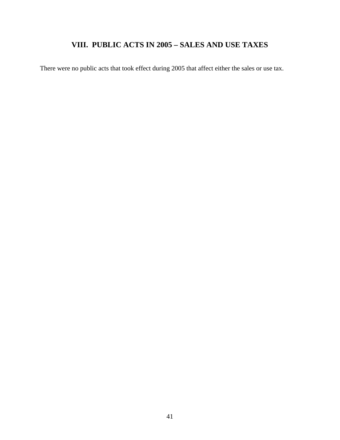## **VIII. PUBLIC ACTS IN 2005 – SALES AND USE TAXES**

There were no public acts that took effect during 2005 that affect either the sales or use tax.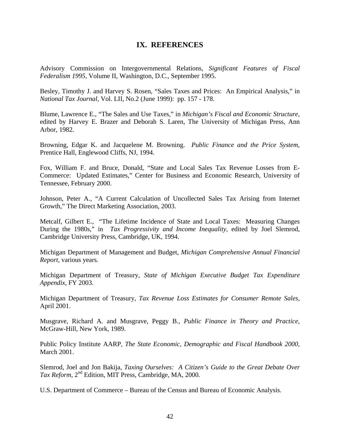#### **IX. REFERENCES**

Advisory Commission on Intergovernmental Relations, *Significant Features of Fiscal Federalism 1995,* Volume II, Washington, D.C., September 1995.

Besley, Timothy J. and Harvey S. Rosen, "Sales Taxes and Prices: An Empirical Analysis," in *National Tax Journal*, Vol. LII, No.2 (June 1999): pp. 157 - 178.

Blume, Lawrence E., "The Sales and Use Taxes," in *Michigan's Fiscal and Economic Structure,*  edited by Harvey E. Brazer and Deborah S. Laren, The University of Michigan Press, Ann Arbor, 1982.

Browning, Edgar K. and Jacquelene M. Browning. *Public Finance and the Price System*, Prentice Hall, Englewood Cliffs, NJ, 1994.

Fox, William F. and Bruce, Donald, "State and Local Sales Tax Revenue Losses from E-Commerce: Updated Estimates," Center for Business and Economic Research, University of Tennessee, February 2000.

Johnson, Peter A., "A Current Calculation of Uncollected Sales Tax Arising from Internet Growth," The Direct Marketing Association, 2003.

Metcalf, Gilbert E., "The Lifetime Incidence of State and Local Taxes: Measuring Changes During the 1980s," in *Tax Progressivity and Income Inequality*, edited by Joel Slemrod, Cambridge University Press, Cambridge, UK, 1994.

Michigan Department of Management and Budget, *Michigan Comprehensive Annual Financial Report,* various years.

Michigan Department of Treasury, *State of Michigan Executive Budget Tax Expenditure Appendix,* FY 2003.

Michigan Department of Treasury, *Tax Revenue Loss Estimates for Consumer Remote Sales,*  April 2001.

Musgrave, Richard A. and Musgrave, Peggy B., *Public Finance in Theory and Practice,*  McGraw-Hill, New York, 1989.

Public Policy Institute AARP, *The State Economic, Demographic and Fiscal Handbook 2000,* March 2001.

Slemrod, Joel and Jon Bakija, *Taxing Ourselves: A Citizen's Guide to the Great Debate Over Tax Reform*, 2nd Edition, MIT Press, Cambridge, MA, 2000.

U.S. Department of Commerce – Bureau of the Census and Bureau of Economic Analysis.